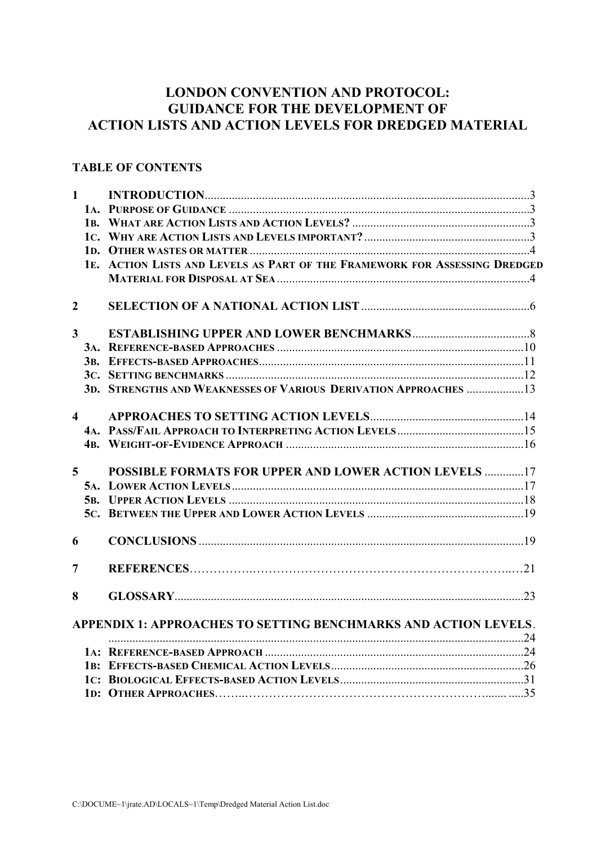# **LONDON CONVENTION AND PROTOCOL: GUIDANCE FOR THE DEVELOPMENT OF ACTION LISTS AND ACTION LEVELS FOR DREDGED MATERIAL**

## **TABLE OF CONTENTS**

|                | $1 \quad$               |                                                                            |  |
|----------------|-------------------------|----------------------------------------------------------------------------|--|
|                |                         |                                                                            |  |
|                |                         |                                                                            |  |
|                |                         |                                                                            |  |
|                |                         |                                                                            |  |
|                |                         | 1E. ACTION LISTS AND LEVELS AS PART OF THE FRAMEWORK FOR ASSESSING DREDGED |  |
|                |                         |                                                                            |  |
| $\overline{2}$ |                         |                                                                            |  |
| $\overline{3}$ |                         |                                                                            |  |
|                |                         |                                                                            |  |
|                |                         |                                                                            |  |
|                |                         |                                                                            |  |
|                |                         | 3D. STRENGTHS AND WEAKNESSES OF VARIOUS DERIVATION APPROACHES 13           |  |
|                | $\overline{\mathbf{4}}$ |                                                                            |  |
|                |                         |                                                                            |  |
|                |                         |                                                                            |  |
|                | 5 <sup>5</sup>          | <b>POSSIBLE FORMATS FOR UPPER AND LOWER ACTION LEVELS 17</b>               |  |
|                |                         |                                                                            |  |
|                |                         |                                                                            |  |
|                |                         |                                                                            |  |
| 6              |                         |                                                                            |  |
| 7              |                         |                                                                            |  |
| 8              |                         |                                                                            |  |
|                |                         | APPENDIX 1: APPROACHES TO SETTING BENCHMARKS AND ACTION LEVELS.            |  |
|                |                         |                                                                            |  |
|                |                         |                                                                            |  |
|                |                         |                                                                            |  |
|                |                         |                                                                            |  |
|                |                         |                                                                            |  |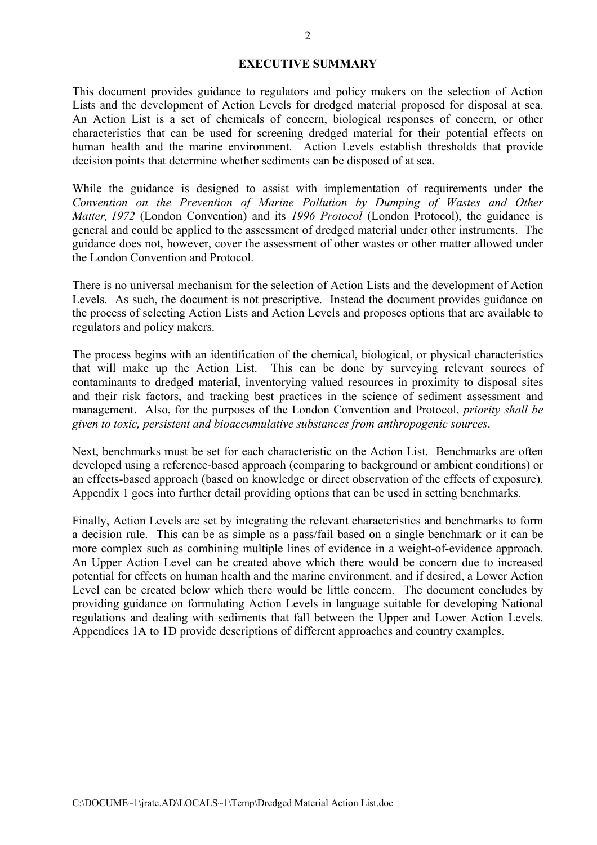#### **EXECUTIVE SUMMARY**

This document provides guidance to regulators and policy makers on the selection of Action Lists and the development of Action Levels for dredged material proposed for disposal at sea. An Action List is a set of chemicals of concern, biological responses of concern, or other characteristics that can be used for screening dredged material for their potential effects on human health and the marine environment. Action Levels establish thresholds that provide decision points that determine whether sediments can be disposed of at sea.

While the guidance is designed to assist with implementation of requirements under the *Convention on the Prevention of Marine Pollution by Dumping of Wastes and Other Matter, 1972* (London Convention) and its *1996 Protocol* (London Protocol), the guidance is general and could be applied to the assessment of dredged material under other instruments. The guidance does not, however, cover the assessment of other wastes or other matter allowed under the London Convention and Protocol.

There is no universal mechanism for the selection of Action Lists and the development of Action Levels. As such, the document is not prescriptive. Instead the document provides guidance on the process of selecting Action Lists and Action Levels and proposes options that are available to regulators and policy makers.

The process begins with an identification of the chemical, biological, or physical characteristics that will make up the Action List. This can be done by surveying relevant sources of contaminants to dredged material, inventorying valued resources in proximity to disposal sites and their risk factors, and tracking best practices in the science of sediment assessment and management. Also, for the purposes of the London Convention and Protocol, *priority shall be given to toxic, persistent and bioaccumulative substances from anthropogenic sources*.

Next, benchmarks must be set for each characteristic on the Action List. Benchmarks are often developed using a reference-based approach (comparing to background or ambient conditions) or an effects-based approach (based on knowledge or direct observation of the effects of exposure). Appendix 1 goes into further detail providing options that can be used in setting benchmarks.

Finally, Action Levels are set by integrating the relevant characteristics and benchmarks to form a decision rule. This can be as simple as a pass/fail based on a single benchmark or it can be more complex such as combining multiple lines of evidence in a weight-of-evidence approach. An Upper Action Level can be created above which there would be concern due to increased potential for effects on human health and the marine environment, and if desired, a Lower Action Level can be created below which there would be little concern. The document concludes by providing guidance on formulating Action Levels in language suitable for developing National regulations and dealing with sediments that fall between the Upper and Lower Action Levels. Appendices 1A to 1D provide descriptions of different approaches and country examples.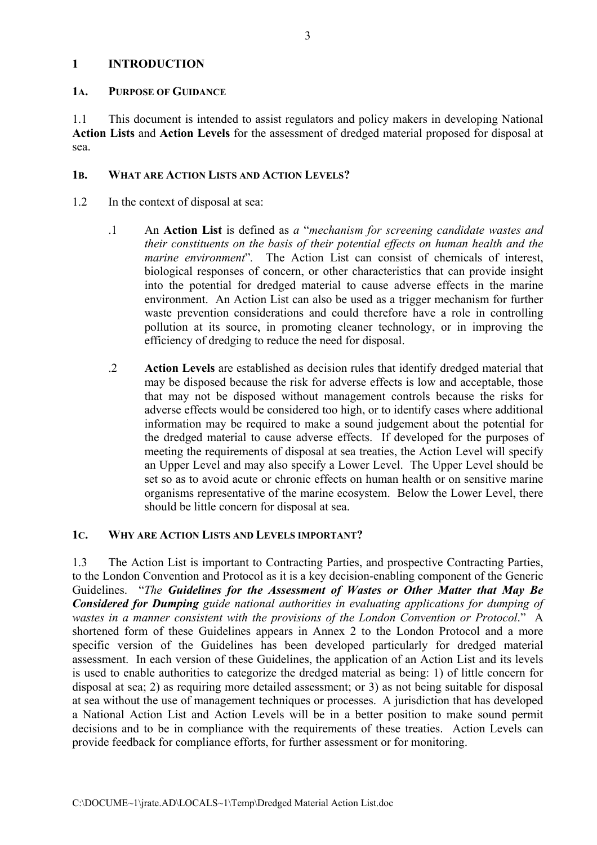## **1 INTRODUCTION**

#### **1A. PURPOSE OF GUIDANCE**

1.1 This document is intended to assist regulators and policy makers in developing National **Action Lists** and **Action Levels** for the assessment of dredged material proposed for disposal at sea.

## **1B. WHAT ARE ACTION LISTS AND ACTION LEVELS?**

- 1.2 In the context of disposal at sea:
	- .1 An **Action List** is defined as *a* "*mechanism for screening candidate wastes and their constituents on the basis of their potential effects on human health and the marine environment*"*.* The Action List can consist of chemicals of interest, biological responses of concern, or other characteristics that can provide insight into the potential for dredged material to cause adverse effects in the marine environment. An Action List can also be used as a trigger mechanism for further waste prevention considerations and could therefore have a role in controlling pollution at its source, in promoting cleaner technology, or in improving the efficiency of dredging to reduce the need for disposal.
	- .2 **Action Levels** are established as decision rules that identify dredged material that may be disposed because the risk for adverse effects is low and acceptable, those that may not be disposed without management controls because the risks for adverse effects would be considered too high, or to identify cases where additional information may be required to make a sound judgement about the potential for the dredged material to cause adverse effects. If developed for the purposes of meeting the requirements of disposal at sea treaties, the Action Level will specify an Upper Level and may also specify a Lower Level. The Upper Level should be set so as to avoid acute or chronic effects on human health or on sensitive marine organisms representative of the marine ecosystem. Below the Lower Level, there should be little concern for disposal at sea.

#### **1C. WHY ARE ACTION LISTS AND LEVELS IMPORTANT?**

1.3 The Action List is important to Contracting Parties, and prospective Contracting Parties, to the London Convention and Protocol as it is a key decision-enabling component of the Generic Guidelines. "*The Guidelines for the Assessment of Wastes or Other Matter that May Be Considered for Dumping guide national authorities in evaluating applications for dumping of wastes in a manner consistent with the provisions of the London Convention or Protocol*." A shortened form of these Guidelines appears in Annex 2 to the London Protocol and a more specific version of the Guidelines has been developed particularly for dredged material assessment. In each version of these Guidelines, the application of an Action List and its levels is used to enable authorities to categorize the dredged material as being: 1) of little concern for disposal at sea; 2) as requiring more detailed assessment; or 3) as not being suitable for disposal at sea without the use of management techniques or processes.A jurisdiction that has developed a National Action List and Action Levels will be in a better position to make sound permit decisions and to be in compliance with the requirements of these treaties. Action Levels can provide feedback for compliance efforts, for further assessment or for monitoring.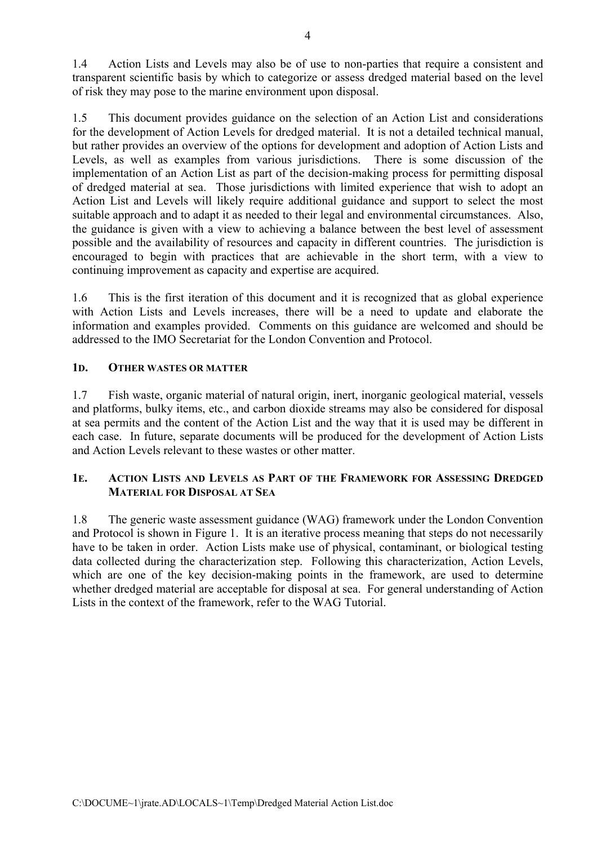1.4 Action Lists and Levels may also be of use to non-parties that require a consistent and transparent scientific basis by which to categorize or assess dredged material based on the level of risk they may pose to the marine environment upon disposal.

1.5 This document provides guidance on the selection of an Action List and considerations for the development of Action Levels for dredged material. It is not a detailed technical manual, but rather provides an overview of the options for development and adoption of Action Lists and Levels, as well as examples from various jurisdictions. There is some discussion of the implementation of an Action List as part of the decision-making process for permitting disposal of dredged material at sea. Those jurisdictions with limited experience that wish to adopt an Action List and Levels will likely require additional guidance and support to select the most suitable approach and to adapt it as needed to their legal and environmental circumstances. Also, the guidance is given with a view to achieving a balance between the best level of assessment possible and the availability of resources and capacity in different countries. The jurisdiction is encouraged to begin with practices that are achievable in the short term, with a view to continuing improvement as capacity and expertise are acquired.

1.6 This is the first iteration of this document and it is recognized that as global experience with Action Lists and Levels increases, there will be a need to update and elaborate the information and examples provided. Comments on this guidance are welcomed and should be addressed to the IMO Secretariat for the London Convention and Protocol.

## **1D. OTHER WASTES OR MATTER**

1.7 Fish waste, organic material of natural origin, inert, inorganic geological material, vessels and platforms, bulky items, etc., and carbon dioxide streams may also be considered for disposal at sea permits and the content of the Action List and the way that it is used may be different in each case. In future, separate documents will be produced for the development of Action Lists and Action Levels relevant to these wastes or other matter.

## **1E. ACTION LISTS AND LEVELS AS PART OF THE FRAMEWORK FOR ASSESSING DREDGED MATERIAL FOR DISPOSAL AT SEA**

1.8 The generic waste assessment guidance (WAG) framework under the London Convention and Protocol is shown in Figure 1. It is an iterative process meaning that steps do not necessarily have to be taken in order. Action Lists make use of physical, contaminant, or biological testing data collected during the characterization step. Following this characterization, Action Levels, which are one of the key decision-making points in the framework, are used to determine whether dredged material are acceptable for disposal at sea. For general understanding of Action Lists in the context of the framework, refer to the WAG Tutorial.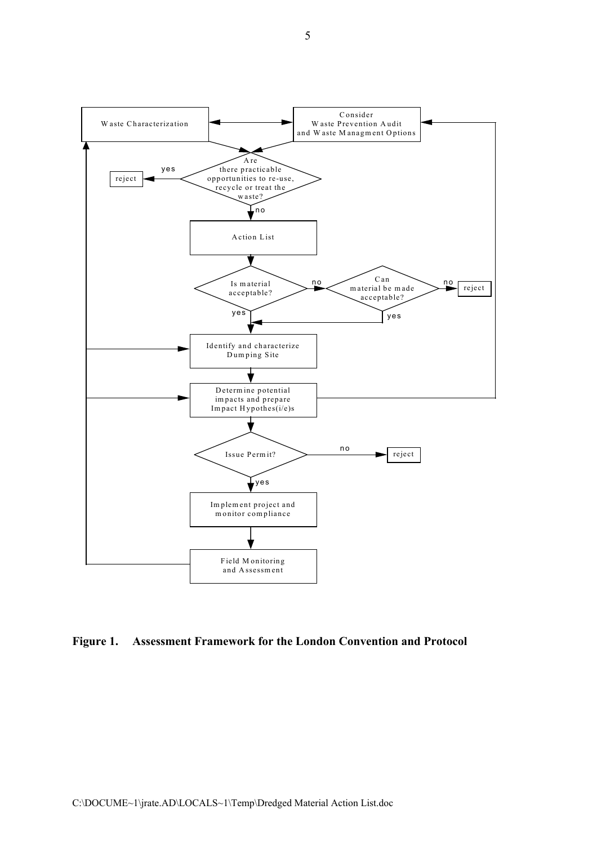

**Figure 1. Assessment Framework for the London Convention and Protocol**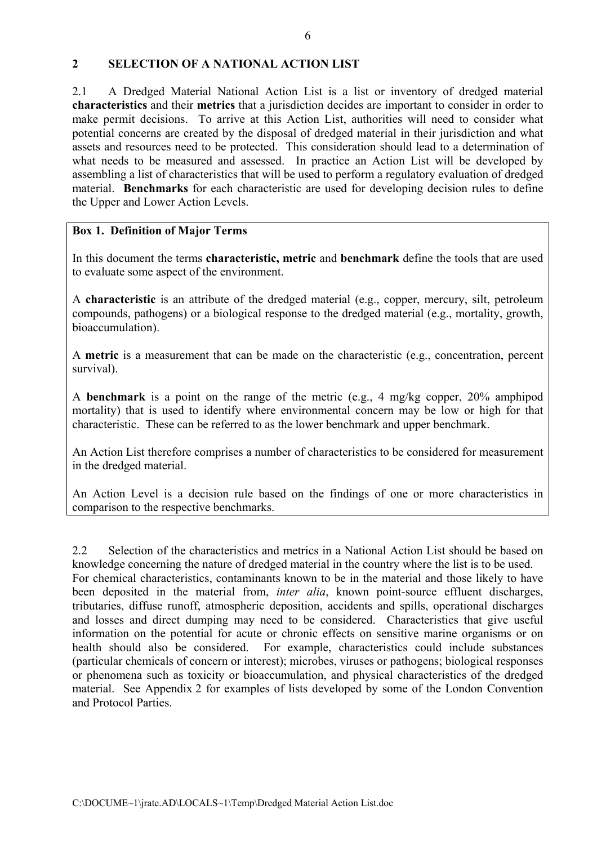## **2 SELECTION OF A NATIONAL ACTION LIST**

2.1 A Dredged Material National Action List is a list or inventory of dredged material **characteristics** and their **metrics** that a jurisdiction decides are important to consider in order to make permit decisions. To arrive at this Action List, authorities will need to consider what potential concerns are created by the disposal of dredged material in their jurisdiction and what assets and resources need to be protected. This consideration should lead to a determination of what needs to be measured and assessed. In practice an Action List will be developed by assembling a list of characteristics that will be used to perform a regulatory evaluation of dredged material. **Benchmarks** for each characteristic are used for developing decision rules to define the Upper and Lower Action Levels.

## **Box 1. Definition of Major Terms**

In this document the terms **characteristic, metric** and **benchmark** define the tools that are used to evaluate some aspect of the environment.

A **characteristic** is an attribute of the dredged material (e.g., copper, mercury, silt, petroleum compounds, pathogens) or a biological response to the dredged material (e.g., mortality, growth, bioaccumulation).

A **metric** is a measurement that can be made on the characteristic (e.g., concentration, percent survival).

A **benchmark** is a point on the range of the metric (e.g., 4 mg/kg copper, 20% amphipod mortality) that is used to identify where environmental concern may be low or high for that characteristic. These can be referred to as the lower benchmark and upper benchmark.

An Action List therefore comprises a number of characteristics to be considered for measurement in the dredged material.

An Action Level is a decision rule based on the findings of one or more characteristics in comparison to the respective benchmarks.

2.2 Selection of the characteristics and metrics in a National Action List should be based on knowledge concerning the nature of dredged material in the country where the list is to be used. For chemical characteristics, contaminants known to be in the material and those likely to have been deposited in the material from, *inter alia*, known point-source effluent discharges, tributaries, diffuse runoff, atmospheric deposition, accidents and spills, operational discharges and losses and direct dumping may need to be considered. Characteristics that give useful information on the potential for acute or chronic effects on sensitive marine organisms or on health should also be considered. For example, characteristics could include substances (particular chemicals of concern or interest); microbes, viruses or pathogens; biological responses or phenomena such as toxicity or bioaccumulation, and physical characteristics of the dredged material. See Appendix 2 for examples of lists developed by some of the London Convention and Protocol Parties.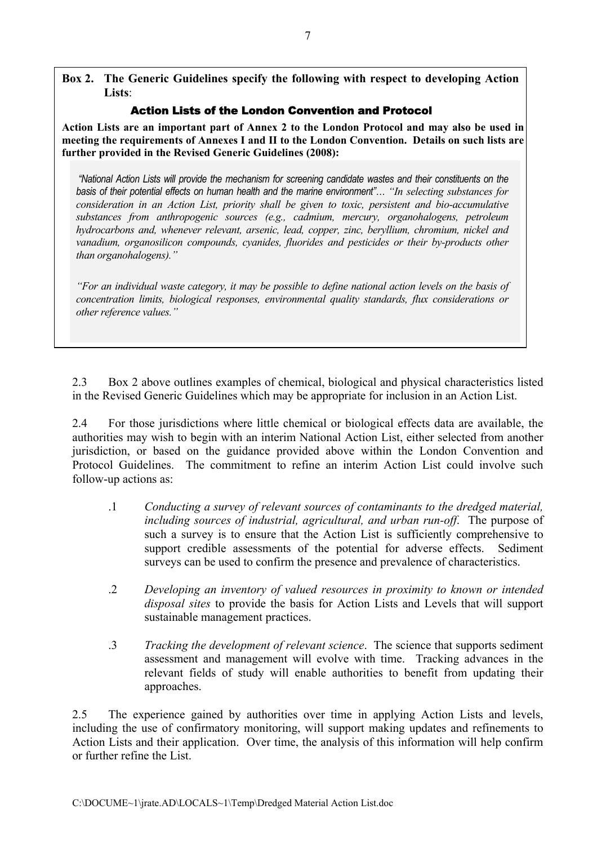**Box 2. The Generic Guidelines specify the following with respect to developing Action Lists**:

## Action Lists of the London Convention and Protocol

**Action Lists are an important part of Annex 2 to the London Protocol and may also be used in meeting the requirements of Annexes I and II to the London Convention. Details on such lists are further provided in the Revised Generic Guidelines (2008):** 

*"National Action Lists will provide the mechanism for screening candidate wastes and their constituents on the basis of their potential effects on human health and the marine environment"… "In selecting substances for consideration in an Action List, priority shall be given to toxic, persistent and bio-accumulative substances from anthropogenic sources (e.g., cadmium, mercury, organohalogens, petroleum hydrocarbons and, whenever relevant, arsenic, lead, copper, zinc, beryllium, chromium, nickel and vanadium, organosilicon compounds, cyanides, fluorides and pesticides or their by-products other than organohalogens)."* 

*"For an individual waste category, it may be possible to define national action levels on the basis of concentration limits, biological responses, environmental quality standards, flux considerations or other reference values."* 

2.3 Box 2 above outlines examples of chemical, biological and physical characteristics listed in the Revised Generic Guidelines which may be appropriate for inclusion in an Action List.

2.4 For those jurisdictions where little chemical or biological effects data are available, the authorities may wish to begin with an interim National Action List, either selected from another jurisdiction, or based on the guidance provided above within the London Convention and Protocol Guidelines. The commitment to refine an interim Action List could involve such follow-up actions as:

- .1 *Conducting a survey of relevant sources of contaminants to the dredged material, including sources of industrial, agricultural, and urban run-off*.The purpose of such a survey is to ensure that the Action List is sufficiently comprehensive to support credible assessments of the potential for adverse effects. Sediment surveys can be used to confirm the presence and prevalence of characteristics.
- .2 *Developing an inventory of valued resources in proximity to known or intended disposal sites* to provide the basis for Action Lists and Levels that will support sustainable management practices.
- .3 *Tracking the development of relevant science*. The science that supports sediment assessment and management will evolve with time. Tracking advances in the relevant fields of study will enable authorities to benefit from updating their approaches.

2.5 The experience gained by authorities over time in applying Action Lists and levels, including the use of confirmatory monitoring, will support making updates and refinements to Action Lists and their application. Over time, the analysis of this information will help confirm or further refine the List.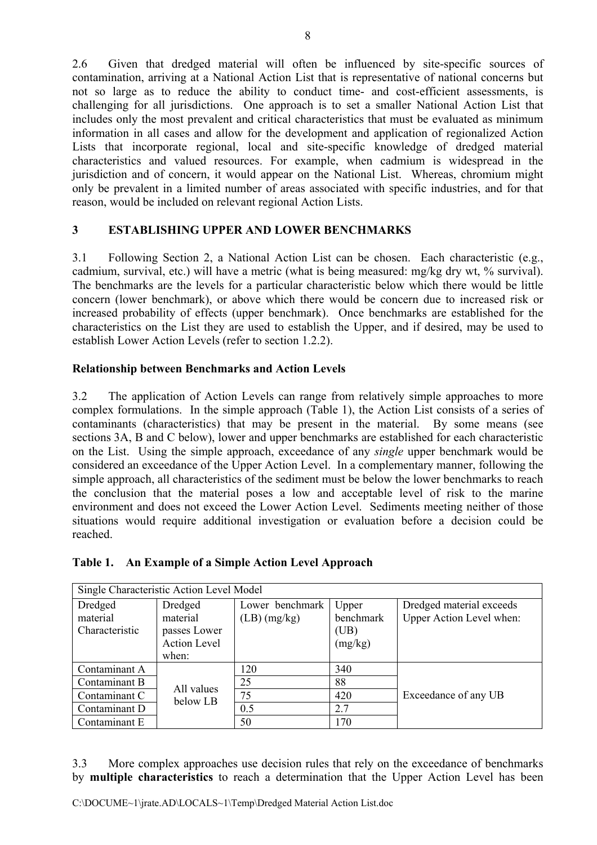2.6 Given that dredged material will often be influenced by site-specific sources of contamination, arriving at a National Action List that is representative of national concerns but not so large as to reduce the ability to conduct time- and cost-efficient assessments, is challenging for all jurisdictions. One approach is to set a smaller National Action List that includes only the most prevalent and critical characteristics that must be evaluated as minimum information in all cases and allow for the development and application of regionalized Action Lists that incorporate regional, local and site-specific knowledge of dredged material characteristics and valued resources. For example, when cadmium is widespread in the jurisdiction and of concern, it would appear on the National List. Whereas, chromium might only be prevalent in a limited number of areas associated with specific industries, and for that reason, would be included on relevant regional Action Lists.

# **3 ESTABLISHING UPPER AND LOWER BENCHMARKS**

3.1 Following Section 2, a National Action List can be chosen. Each characteristic (e.g., cadmium, survival, etc.) will have a metric (what is being measured: mg/kg dry wt, % survival). The benchmarks are the levels for a particular characteristic below which there would be little concern (lower benchmark), or above which there would be concern due to increased risk or increased probability of effects (upper benchmark). Once benchmarks are established for the characteristics on the List they are used to establish the Upper, and if desired, may be used to establish Lower Action Levels (refer to section 1.2.2).

## **Relationship between Benchmarks and Action Levels**

3.2 The application of Action Levels can range from relatively simple approaches to more complex formulations. In the simple approach (Table 1), the Action List consists of a series of contaminants (characteristics) that may be present in the material. By some means (see sections 3A, B and C below), lower and upper benchmarks are established for each characteristic on the List. Using the simple approach, exceedance of any *single* upper benchmark would be considered an exceedance of the Upper Action Level. In a complementary manner, following the simple approach, all characteristics of the sediment must be below the lower benchmarks to reach the conclusion that the material poses a low and acceptable level of risk to the marine environment and does not exceed the Lower Action Level. Sediments meeting neither of those situations would require additional investigation or evaluation before a decision could be reached.

|  |  |  | Table 1. An Example of a Simple Action Level Approach |
|--|--|--|-------------------------------------------------------|
|--|--|--|-------------------------------------------------------|

| Single Characteristic Action Level Model |                     |                 |           |                          |
|------------------------------------------|---------------------|-----------------|-----------|--------------------------|
| Dredged                                  | Dredged             | Lower benchmark | Upper     | Dredged material exceeds |
| material                                 | material            | $(LB)$ (mg/kg)  | benchmark | Upper Action Level when: |
| Characteristic                           | passes Lower        |                 | (UB)      |                          |
|                                          | <b>Action Level</b> |                 | (mg/kg)   |                          |
|                                          | when:               |                 |           |                          |
| Contaminant A                            |                     | 120             | 340       |                          |
| Contaminant B                            | All values          | 25              | 88        |                          |
| Contaminant C                            | below LB            | 75              | 420       | Exceedance of any UB     |
| Contaminant D                            |                     | 0.5             | 2.7       |                          |
| Contaminant E                            |                     | 50              | 170       |                          |

3.3 More complex approaches use decision rules that rely on the exceedance of benchmarks by **multiple characteristics** to reach a determination that the Upper Action Level has been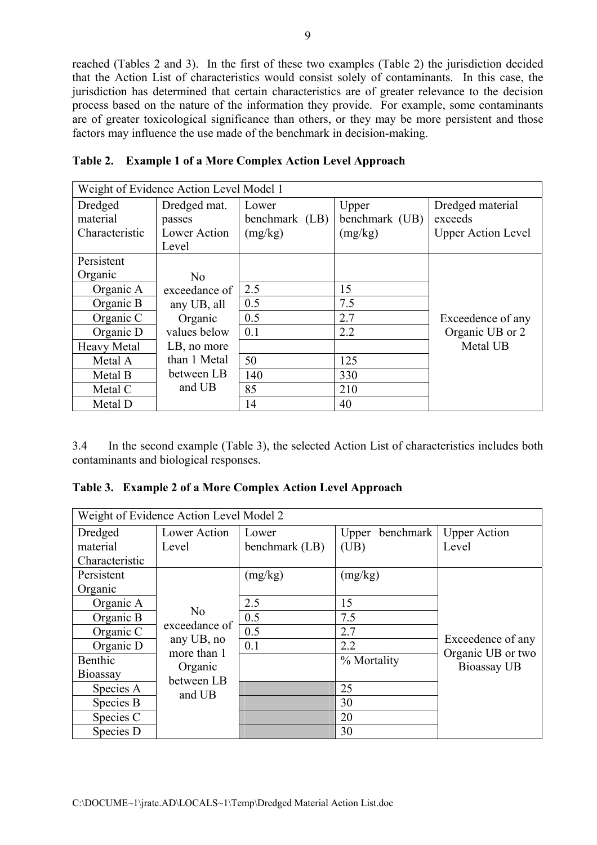reached (Tables 2 and 3). In the first of these two examples (Table 2) the jurisdiction decided that the Action List of characteristics would consist solely of contaminants. In this case, the jurisdiction has determined that certain characteristics are of greater relevance to the decision process based on the nature of the information they provide. For example, some contaminants are of greater toxicological significance than others, or they may be more persistent and those factors may influence the use made of the benchmark in decision-making.

|                                       | Weight of Evidence Action Level Model 1         |                                    |                                    |                                                          |  |
|---------------------------------------|-------------------------------------------------|------------------------------------|------------------------------------|----------------------------------------------------------|--|
| Dredged<br>material<br>Characteristic | Dredged mat.<br>passes<br>Lower Action<br>Level | Lower<br>benchmark (LB)<br>(mg/kg) | Upper<br>benchmark (UB)<br>(mg/kg) | Dredged material<br>exceeds<br><b>Upper Action Level</b> |  |
| Persistent                            |                                                 |                                    |                                    |                                                          |  |
| Organic                               | N <sub>0</sub>                                  |                                    |                                    |                                                          |  |
| Organic A                             | exceedance of                                   | 2.5                                | 15                                 |                                                          |  |
| Organic B                             | any UB, all                                     | 0.5                                | 7.5                                |                                                          |  |
| Organic C                             | Organic                                         | 0.5                                | 2.7                                | Exceedence of any                                        |  |
| Organic D                             | values below                                    | 0.1                                | 2.2                                | Organic UB or 2                                          |  |
| <b>Heavy Metal</b>                    | LB, no more                                     |                                    |                                    | Metal UB                                                 |  |
| Metal A                               | than 1 Metal                                    | 50                                 | 125                                |                                                          |  |
| Metal B                               | between LB                                      | 140                                | 330                                |                                                          |  |
| Metal C                               | and UB                                          | 85                                 | 210                                |                                                          |  |
| Metal D                               |                                                 | 14                                 | 40                                 |                                                          |  |

| Table 2. Example 1 of a More Complex Action Level Approach |  |  |  |  |
|------------------------------------------------------------|--|--|--|--|
|------------------------------------------------------------|--|--|--|--|

3.4 In the second example (Table 3), the selected Action List of characteristics includes both contaminants and biological responses.

|  |  |  |  |  | Table 3. Example 2 of a More Complex Action Level Approach |
|--|--|--|--|--|------------------------------------------------------------|
|--|--|--|--|--|------------------------------------------------------------|

|                | Weight of Evidence Action Level Model 2 |                |                    |                                        |
|----------------|-----------------------------------------|----------------|--------------------|----------------------------------------|
| Dredged        | Lower Action                            | Lower          | benchmark<br>Upper | <b>Upper Action</b>                    |
| material       | Level                                   | benchmark (LB) | (UB)               | Level                                  |
| Characteristic |                                         |                |                    |                                        |
| Persistent     |                                         | (mg/kg)        | (mg/kg)            |                                        |
| Organic        |                                         |                |                    |                                        |
| Organic A      |                                         | 2.5            | 15                 |                                        |
| Organic B      | N <sub>0</sub>                          | 0.5            | 7.5                |                                        |
| Organic C      | exceedance of                           | 0.5            | 2.7                |                                        |
| Organic D      | any UB, no<br>more than 1               | 0.1            | 2.2                | Exceedence of any<br>Organic UB or two |
| Benthic        | Organic                                 |                | % Mortality        | <b>Bioassay UB</b>                     |
| Bioassay       | between LB                              |                |                    |                                        |
| Species A      | and UB                                  |                | 25                 |                                        |
| Species B      |                                         |                | 30                 |                                        |
| Species C      |                                         |                | 20                 |                                        |
| Species D      |                                         |                | 30                 |                                        |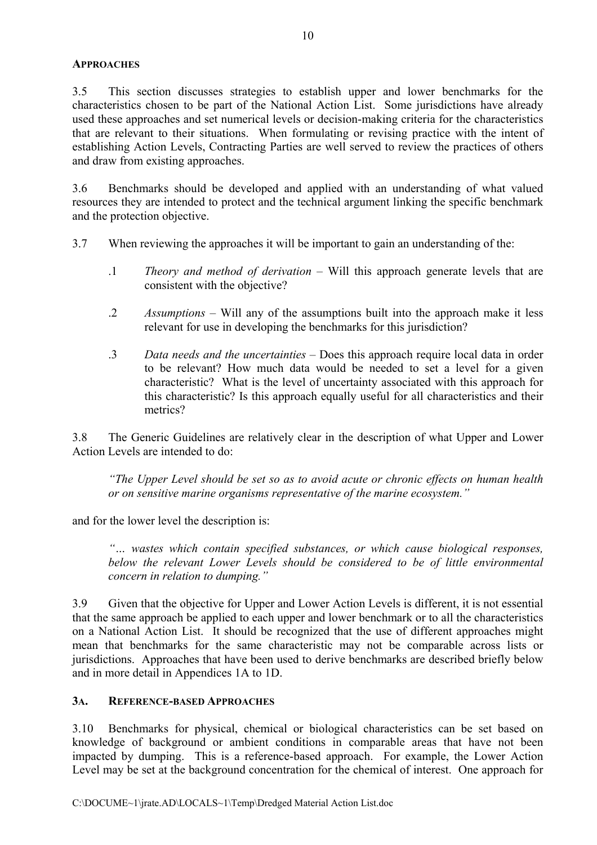## **APPROACHES**

3.5 This section discusses strategies to establish upper and lower benchmarks for the characteristics chosen to be part of the National Action List. Some jurisdictions have already used these approaches and set numerical levels or decision-making criteria for the characteristics that are relevant to their situations. When formulating or revising practice with the intent of establishing Action Levels, Contracting Parties are well served to review the practices of others and draw from existing approaches.

3.6 Benchmarks should be developed and applied with an understanding of what valued resources they are intended to protect and the technical argument linking the specific benchmark and the protection objective.

- 3.7 When reviewing the approaches it will be important to gain an understanding of the:
	- .1 *Theory and method of derivation*  Will this approach generate levels that are consistent with the objective?
	- .2 *Assumptions* Will any of the assumptions built into the approach make it less relevant for use in developing the benchmarks for this jurisdiction?
	- .3 *Data needs and the uncertainties* Does this approach require local data in order to be relevant? How much data would be needed to set a level for a given characteristic? What is the level of uncertainty associated with this approach for this characteristic? Is this approach equally useful for all characteristics and their metrics?

3.8 The Generic Guidelines are relatively clear in the description of what Upper and Lower Action Levels are intended to do:

*"The Upper Level should be set so as to avoid acute or chronic effects on human health or on sensitive marine organisms representative of the marine ecosystem."* 

and for the lower level the description is:

*"… wastes which contain specified substances, or which cause biological responses, below the relevant Lower Levels should be considered to be of little environmental concern in relation to dumping."*

3.9 Given that the objective for Upper and Lower Action Levels is different, it is not essential that the same approach be applied to each upper and lower benchmark or to all the characteristics on a National Action List. It should be recognized that the use of different approaches might mean that benchmarks for the same characteristic may not be comparable across lists or jurisdictions. Approaches that have been used to derive benchmarks are described briefly below and in more detail in Appendices 1A to 1D.

## **3A. REFERENCE-BASED APPROACHES**

3.10 Benchmarks for physical, chemical or biological characteristics can be set based on knowledge of background or ambient conditions in comparable areas that have not been impacted by dumping. This is a reference-based approach. For example, the Lower Action Level may be set at the background concentration for the chemical of interest. One approach for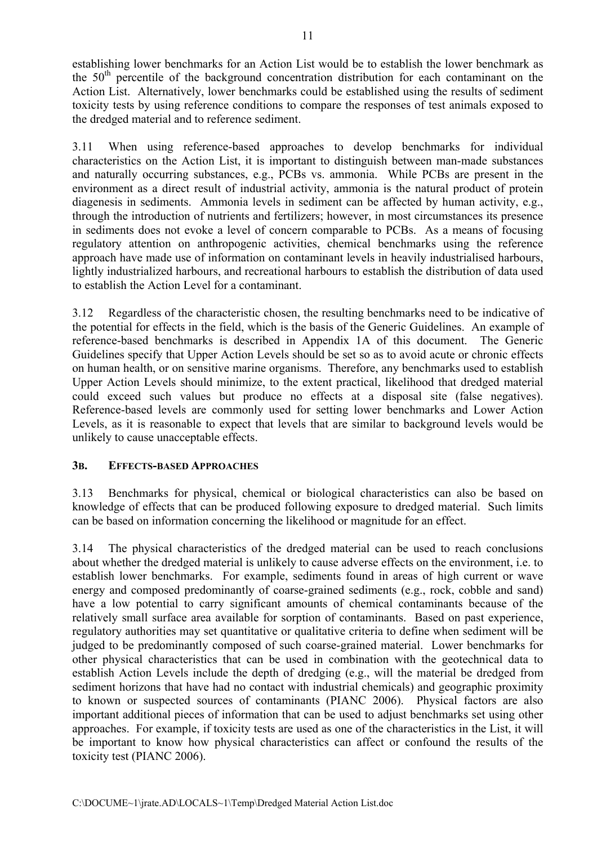establishing lower benchmarks for an Action List would be to establish the lower benchmark as the  $50<sup>th</sup>$  percentile of the background concentration distribution for each contaminant on the Action List. Alternatively, lower benchmarks could be established using the results of sediment toxicity tests by using reference conditions to compare the responses of test animals exposed to the dredged material and to reference sediment.

3.11 When using reference-based approaches to develop benchmarks for individual characteristics on the Action List, it is important to distinguish between man-made substances and naturally occurring substances, e.g., PCBs vs. ammonia. While PCBs are present in the environment as a direct result of industrial activity, ammonia is the natural product of protein diagenesis in sediments. Ammonia levels in sediment can be affected by human activity, e.g., through the introduction of nutrients and fertilizers; however, in most circumstances its presence in sediments does not evoke a level of concern comparable to PCBs. As a means of focusing regulatory attention on anthropogenic activities, chemical benchmarks using the reference approach have made use of information on contaminant levels in heavily industrialised harbours, lightly industrialized harbours, and recreational harbours to establish the distribution of data used to establish the Action Level for a contaminant.

3.12 Regardless of the characteristic chosen, the resulting benchmarks need to be indicative of the potential for effects in the field, which is the basis of the Generic Guidelines. An example of reference-based benchmarks is described in Appendix 1A of this document. The Generic Guidelines specify that Upper Action Levels should be set so as to avoid acute or chronic effects on human health, or on sensitive marine organisms. Therefore, any benchmarks used to establish Upper Action Levels should minimize, to the extent practical, likelihood that dredged material could exceed such values but produce no effects at a disposal site (false negatives). Reference-based levels are commonly used for setting lower benchmarks and Lower Action Levels, as it is reasonable to expect that levels that are similar to background levels would be unlikely to cause unacceptable effects.

## **3B. EFFECTS-BASED APPROACHES**

3.13 Benchmarks for physical, chemical or biological characteristics can also be based on knowledge of effects that can be produced following exposure to dredged material. Such limits can be based on information concerning the likelihood or magnitude for an effect.

3.14 The physical characteristics of the dredged material can be used to reach conclusions about whether the dredged material is unlikely to cause adverse effects on the environment, i.e. to establish lower benchmarks. For example, sediments found in areas of high current or wave energy and composed predominantly of coarse-grained sediments (e.g., rock, cobble and sand) have a low potential to carry significant amounts of chemical contaminants because of the relatively small surface area available for sorption of contaminants. Based on past experience, regulatory authorities may set quantitative or qualitative criteria to define when sediment will be judged to be predominantly composed of such coarse-grained material. Lower benchmarks for other physical characteristics that can be used in combination with the geotechnical data to establish Action Levels include the depth of dredging (e.g., will the material be dredged from sediment horizons that have had no contact with industrial chemicals) and geographic proximity to known or suspected sources of contaminants (PIANC 2006). Physical factors are also important additional pieces of information that can be used to adjust benchmarks set using other approaches. For example, if toxicity tests are used as one of the characteristics in the List, it will be important to know how physical characteristics can affect or confound the results of the toxicity test (PIANC 2006).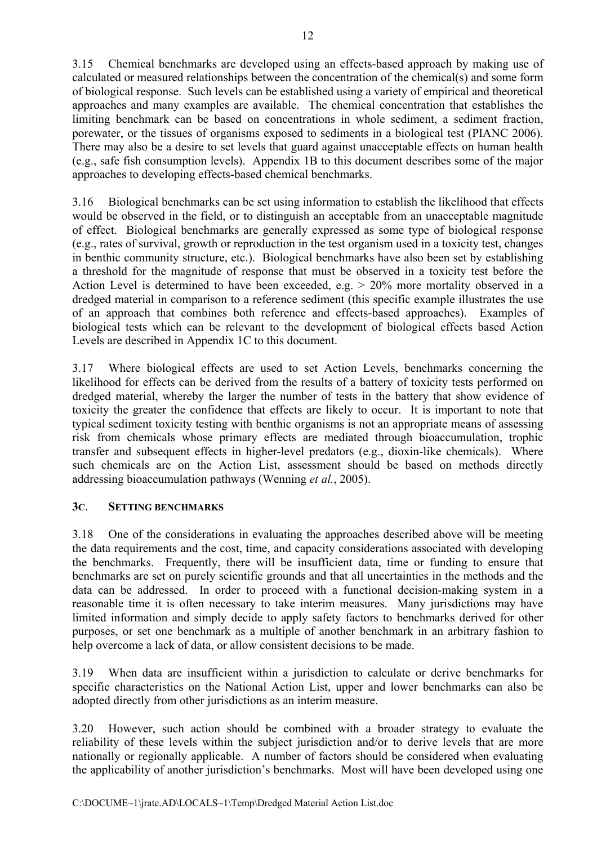3.15 Chemical benchmarks are developed using an effects-based approach by making use of calculated or measured relationships between the concentration of the chemical(s) and some form of biological response. Such levels can be established using a variety of empirical and theoretical approaches and many examples are available. The chemical concentration that establishes the limiting benchmark can be based on concentrations in whole sediment, a sediment fraction, porewater, or the tissues of organisms exposed to sediments in a biological test (PIANC 2006). There may also be a desire to set levels that guard against unacceptable effects on human health (e.g., safe fish consumption levels). Appendix 1B to this document describes some of the major approaches to developing effects-based chemical benchmarks.

3.16 Biological benchmarks can be set using information to establish the likelihood that effects would be observed in the field, or to distinguish an acceptable from an unacceptable magnitude of effect. Biological benchmarks are generally expressed as some type of biological response (e.g., rates of survival, growth or reproduction in the test organism used in a toxicity test, changes in benthic community structure, etc.). Biological benchmarks have also been set by establishing a threshold for the magnitude of response that must be observed in a toxicity test before the Action Level is determined to have been exceeded, e.g. > 20% more mortality observed in a dredged material in comparison to a reference sediment (this specific example illustrates the use of an approach that combines both reference and effects-based approaches). Examples of biological tests which can be relevant to the development of biological effects based Action Levels are described in Appendix 1C to this document.

3.17 Where biological effects are used to set Action Levels, benchmarks concerning the likelihood for effects can be derived from the results of a battery of toxicity tests performed on dredged material, whereby the larger the number of tests in the battery that show evidence of toxicity the greater the confidence that effects are likely to occur. It is important to note that typical sediment toxicity testing with benthic organisms is not an appropriate means of assessing risk from chemicals whose primary effects are mediated through bioaccumulation, trophic transfer and subsequent effects in higher-level predators (e.g., dioxin-like chemicals). Where such chemicals are on the Action List, assessment should be based on methods directly addressing bioaccumulation pathways (Wenning *et al.*, 2005).

## **3C**. **SETTING BENCHMARKS**

3.18 One of the considerations in evaluating the approaches described above will be meeting the data requirements and the cost, time, and capacity considerations associated with developing the benchmarks. Frequently, there will be insufficient data, time or funding to ensure that benchmarks are set on purely scientific grounds and that all uncertainties in the methods and the data can be addressed. In order to proceed with a functional decision-making system in a reasonable time it is often necessary to take interim measures. Many jurisdictions may have limited information and simply decide to apply safety factors to benchmarks derived for other purposes, or set one benchmark as a multiple of another benchmark in an arbitrary fashion to help overcome a lack of data, or allow consistent decisions to be made.

3.19 When data are insufficient within a jurisdiction to calculate or derive benchmarks for specific characteristics on the National Action List, upper and lower benchmarks can also be adopted directly from other jurisdictions as an interim measure.

3.20 However, such action should be combined with a broader strategy to evaluate the reliability of these levels within the subject jurisdiction and/or to derive levels that are more nationally or regionally applicable. A number of factors should be considered when evaluating the applicability of another jurisdiction's benchmarks. Most will have been developed using one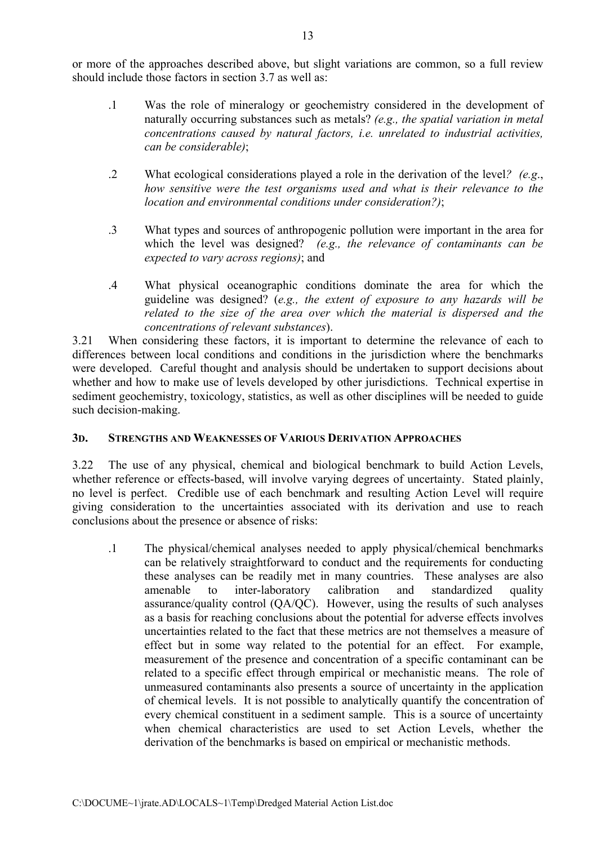or more of the approaches described above, but slight variations are common, so a full review should include those factors in section 3.7 as well as:

- .1 Was the role of mineralogy or geochemistry considered in the development of naturally occurring substances such as metals? *(e.g., the spatial variation in metal concentrations caused by natural factors, i.e. unrelated to industrial activities, can be considerable)*;
- .2 What ecological considerations played a role in the derivation of the level*? (e.g*., *how sensitive were the test organisms used and what is their relevance to the location and environmental conditions under consideration?)*;
- .3 What types and sources of anthropogenic pollution were important in the area for which the level was designed? *(e.g., the relevance of contaminants can be expected to vary across regions)*; and
- .4 What physical oceanographic conditions dominate the area for which the guideline was designed? (*e.g., the extent of exposure to any hazards will be related to the size of the area over which the material is dispersed and the concentrations of relevant substances*).

3.21 When considering these factors, it is important to determine the relevance of each to differences between local conditions and conditions in the jurisdiction where the benchmarks were developed. Careful thought and analysis should be undertaken to support decisions about whether and how to make use of levels developed by other jurisdictions. Technical expertise in sediment geochemistry, toxicology, statistics, as well as other disciplines will be needed to guide such decision-making.

## **3D. STRENGTHS AND WEAKNESSES OF VARIOUS DERIVATION APPROACHES**

3.22 The use of any physical, chemical and biological benchmark to build Action Levels, whether reference or effects-based, will involve varying degrees of uncertainty. Stated plainly, no level is perfect. Credible use of each benchmark and resulting Action Level will require giving consideration to the uncertainties associated with its derivation and use to reach conclusions about the presence or absence of risks:

.1 The physical/chemical analyses needed to apply physical/chemical benchmarks can be relatively straightforward to conduct and the requirements for conducting these analyses can be readily met in many countries. These analyses are also amenable to inter-laboratory calibration and standardized quality assurance/quality control (QA/QC). However, using the results of such analyses as a basis for reaching conclusions about the potential for adverse effects involves uncertainties related to the fact that these metrics are not themselves a measure of effect but in some way related to the potential for an effect. For example, measurement of the presence and concentration of a specific contaminant can be related to a specific effect through empirical or mechanistic means. The role of unmeasured contaminants also presents a source of uncertainty in the application of chemical levels. It is not possible to analytically quantify the concentration of every chemical constituent in a sediment sample. This is a source of uncertainty when chemical characteristics are used to set Action Levels, whether the derivation of the benchmarks is based on empirical or mechanistic methods.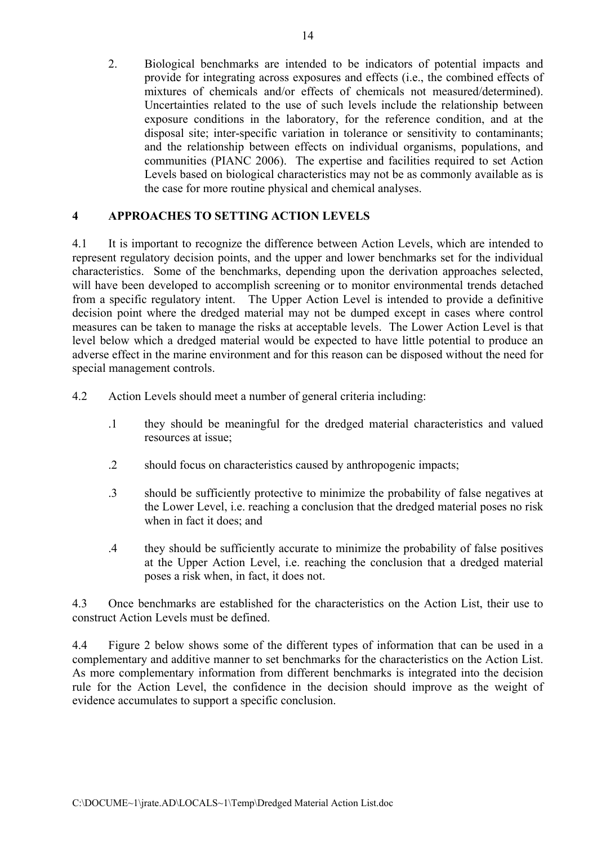2. Biological benchmarks are intended to be indicators of potential impacts and provide for integrating across exposures and effects (i.e., the combined effects of mixtures of chemicals and/or effects of chemicals not measured/determined). Uncertainties related to the use of such levels include the relationship between exposure conditions in the laboratory, for the reference condition, and at the disposal site; inter-specific variation in tolerance or sensitivity to contaminants; and the relationship between effects on individual organisms, populations, and communities (PIANC 2006). The expertise and facilities required to set Action Levels based on biological characteristics may not be as commonly available as is the case for more routine physical and chemical analyses.

## **4 APPROACHES TO SETTING ACTION LEVELS**

4.1 It is important to recognize the difference between Action Levels, which are intended to represent regulatory decision points, and the upper and lower benchmarks set for the individual characteristics. Some of the benchmarks, depending upon the derivation approaches selected, will have been developed to accomplish screening or to monitor environmental trends detached from a specific regulatory intent. The Upper Action Level is intended to provide a definitive decision point where the dredged material may not be dumped except in cases where control measures can be taken to manage the risks at acceptable levels. The Lower Action Level is that level below which a dredged material would be expected to have little potential to produce an adverse effect in the marine environment and for this reason can be disposed without the need for special management controls.

4.2 Action Levels should meet a number of general criteria including:

- .1 they should be meaningful for the dredged material characteristics and valued resources at issue;
- .2 should focus on characteristics caused by anthropogenic impacts;
- .3 should be sufficiently protective to minimize the probability of false negatives at the Lower Level, i.e. reaching a conclusion that the dredged material poses no risk when in fact it does; and
- .4 they should be sufficiently accurate to minimize the probability of false positives at the Upper Action Level, i.e. reaching the conclusion that a dredged material poses a risk when, in fact, it does not.

4.3 Once benchmarks are established for the characteristics on the Action List, their use to construct Action Levels must be defined.

4.4 Figure 2 below shows some of the different types of information that can be used in a complementary and additive manner to set benchmarks for the characteristics on the Action List. As more complementary information from different benchmarks is integrated into the decision rule for the Action Level, the confidence in the decision should improve as the weight of evidence accumulates to support a specific conclusion.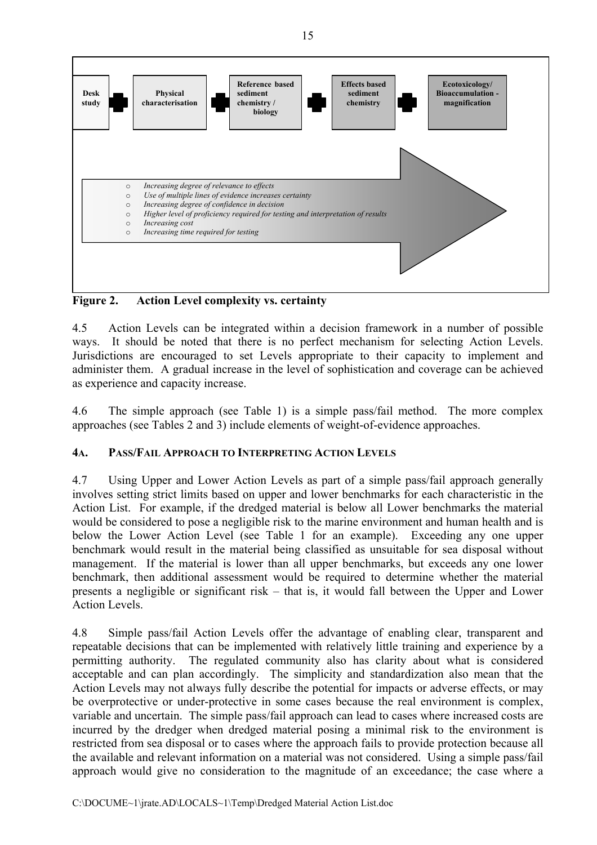

**Figure 2. Action Level complexity vs. certainty**

4.5 Action Levels can be integrated within a decision framework in a number of possible ways. It should be noted that there is no perfect mechanism for selecting Action Levels. Jurisdictions are encouraged to set Levels appropriate to their capacity to implement and administer them. A gradual increase in the level of sophistication and coverage can be achieved as experience and capacity increase.

4.6 The simple approach (see Table 1) is a simple pass/fail method. The more complex approaches (see Tables 2 and 3) include elements of weight-of-evidence approaches.

# **4A. PASS/FAIL APPROACH TO INTERPRETING ACTION LEVELS**

4.7 Using Upper and Lower Action Levels as part of a simple pass/fail approach generally involves setting strict limits based on upper and lower benchmarks for each characteristic in the Action List. For example, if the dredged material is below all Lower benchmarks the material would be considered to pose a negligible risk to the marine environment and human health and is below the Lower Action Level (see Table 1 for an example). Exceeding any one upper benchmark would result in the material being classified as unsuitable for sea disposal without management. If the material is lower than all upper benchmarks, but exceeds any one lower benchmark, then additional assessment would be required to determine whether the material presents a negligible or significant risk – that is, it would fall between the Upper and Lower Action Levels.

4.8 Simple pass/fail Action Levels offer the advantage of enabling clear, transparent and repeatable decisions that can be implemented with relatively little training and experience by a permitting authority. The regulated community also has clarity about what is considered acceptable and can plan accordingly. The simplicity and standardization also mean that the Action Levels may not always fully describe the potential for impacts or adverse effects, or may be overprotective or under-protective in some cases because the real environment is complex, variable and uncertain. The simple pass/fail approach can lead to cases where increased costs are incurred by the dredger when dredged material posing a minimal risk to the environment is restricted from sea disposal or to cases where the approach fails to provide protection because all the available and relevant information on a material was not considered. Using a simple pass/fail approach would give no consideration to the magnitude of an exceedance; the case where a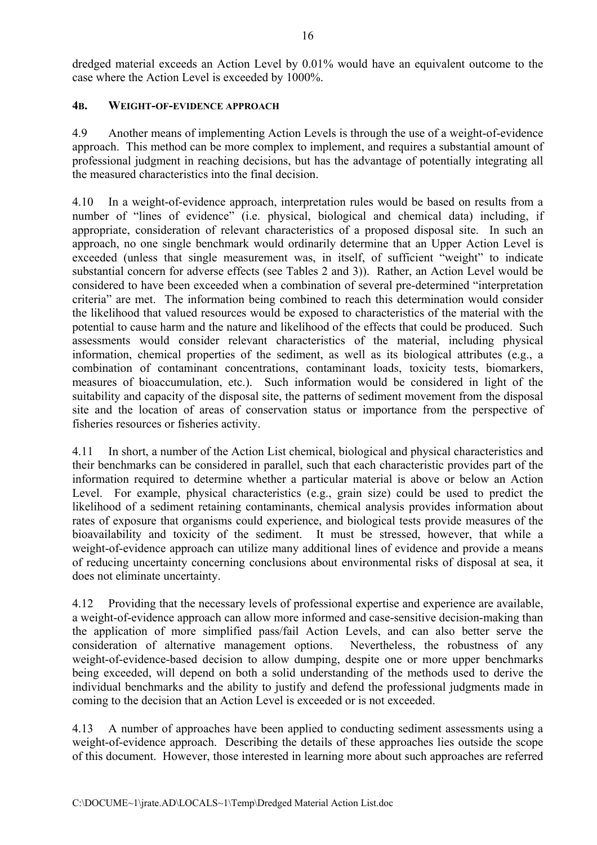dredged material exceeds an Action Level by 0.01% would have an equivalent outcome to the case where the Action Level is exceeded by 1000%.

## **4B. WEIGHT-OF-EVIDENCE APPROACH**

4.9 Another means of implementing Action Levels is through the use of a weight-of-evidence approach. This method can be more complex to implement, and requires a substantial amount of professional judgment in reaching decisions, but has the advantage of potentially integrating all the measured characteristics into the final decision.

4.10 In a weight-of-evidence approach, interpretation rules would be based on results from a number of "lines of evidence" (i.e. physical, biological and chemical data) including, if appropriate, consideration of relevant characteristics of a proposed disposal site. In such an approach, no one single benchmark would ordinarily determine that an Upper Action Level is exceeded (unless that single measurement was, in itself, of sufficient "weight" to indicate substantial concern for adverse effects (see Tables 2 and 3)). Rather, an Action Level would be considered to have been exceeded when a combination of several pre-determined "interpretation criteria" are met. The information being combined to reach this determination would consider the likelihood that valued resources would be exposed to characteristics of the material with the potential to cause harm and the nature and likelihood of the effects that could be produced. Such assessments would consider relevant characteristics of the material, including physical information, chemical properties of the sediment, as well as its biological attributes (e.g., a combination of contaminant concentrations, contaminant loads, toxicity tests, biomarkers, measures of bioaccumulation, etc.). Such information would be considered in light of the suitability and capacity of the disposal site, the patterns of sediment movement from the disposal site and the location of areas of conservation status or importance from the perspective of fisheries resources or fisheries activity.

4.11 In short, a number of the Action List chemical, biological and physical characteristics and their benchmarks can be considered in parallel, such that each characteristic provides part of the information required to determine whether a particular material is above or below an Action Level. For example, physical characteristics (e.g., grain size) could be used to predict the likelihood of a sediment retaining contaminants, chemical analysis provides information about rates of exposure that organisms could experience, and biological tests provide measures of the bioavailability and toxicity of the sediment. It must be stressed, however, that while a weight-of-evidence approach can utilize many additional lines of evidence and provide a means of reducing uncertainty concerning conclusions about environmental risks of disposal at sea, it does not eliminate uncertainty.

4.12 Providing that the necessary levels of professional expertise and experience are available, a weight-of-evidence approach can allow more informed and case-sensitive decision-making than the application of more simplified pass/fail Action Levels, and can also better serve the consideration of alternative management options. Nevertheless, the robustness of any weight-of-evidence-based decision to allow dumping, despite one or more upper benchmarks being exceeded, will depend on both a solid understanding of the methods used to derive the individual benchmarks and the ability to justify and defend the professional judgments made in coming to the decision that an Action Level is exceeded or is not exceeded.

4.13 A number of approaches have been applied to conducting sediment assessments using a weight-of-evidence approach. Describing the details of these approaches lies outside the scope of this document. However, those interested in learning more about such approaches are referred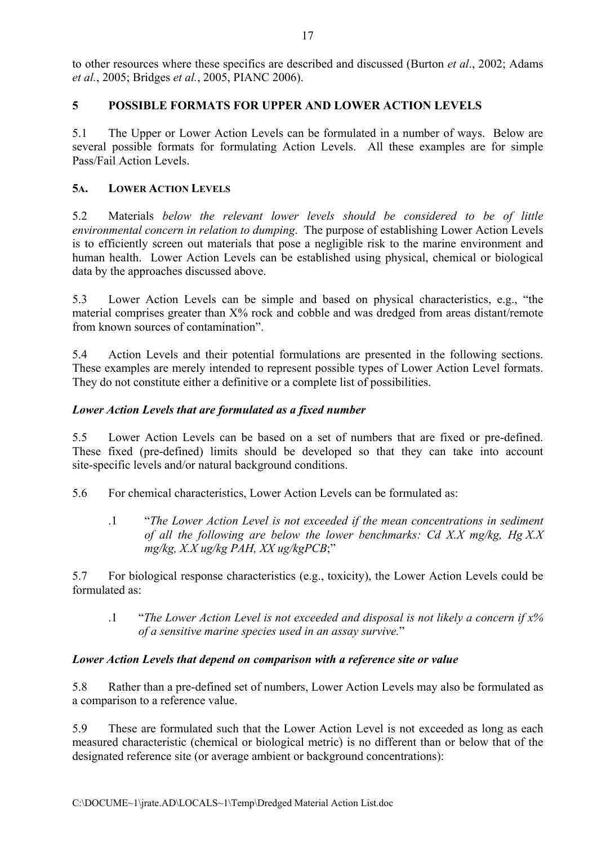to other resources where these specifics are described and discussed (Burton *et al*., 2002; Adams *et al.*, 2005; Bridges *et al.*, 2005, PIANC 2006).

## **5 POSSIBLE FORMATS FOR UPPER AND LOWER ACTION LEVELS**

5.1 The Upper or Lower Action Levels can be formulated in a number of ways. Below are several possible formats for formulating Action Levels. All these examples are for simple Pass/Fail Action Levels.

## **5A. LOWER ACTION LEVELS**

5.2 Materials *below the relevant lower levels should be considered to be of little environmental concern in relation to dumping*.The purpose of establishing Lower Action Levels is to efficiently screen out materials that pose a negligible risk to the marine environment and human health. Lower Action Levels can be established using physical, chemical or biological data by the approaches discussed above.

5.3 Lower Action Levels can be simple and based on physical characteristics, e.g., "the material comprises greater than X% rock and cobble and was dredged from areas distant/remote from known sources of contamination".

5.4 Action Levels and their potential formulations are presented in the following sections. These examples are merely intended to represent possible types of Lower Action Level formats. They do not constitute either a definitive or a complete list of possibilities.

## *Lower Action Levels that are formulated as a fixed number*

5.5 Lower Action Levels can be based on a set of numbers that are fixed or pre-defined. These fixed (pre-defined) limits should be developed so that they can take into account site-specific levels and/or natural background conditions.

5.6 For chemical characteristics, Lower Action Levels can be formulated as:

.1 "*The Lower Action Level is not exceeded if the mean concentrations in sediment of all the following are below the lower benchmarks: Cd X.X mg/kg, Hg X.X mg/kg, X.X ug/kg PAH, XX ug/kgPCB*;"

5.7 For biological response characteristics (e.g., toxicity), the Lower Action Levels could be formulated as:

.1 "*The Lower Action Level is not exceeded and disposal is not likely a concern if x% of a sensitive marine species used in an assay survive.*"

## *Lower Action Levels that depend on comparison with a reference site or value*

5.8 Rather than a pre-defined set of numbers, Lower Action Levels may also be formulated as a comparison to a reference value.

5.9 These are formulated such that the Lower Action Level is not exceeded as long as each measured characteristic (chemical or biological metric) is no different than or below that of the designated reference site (or average ambient or background concentrations):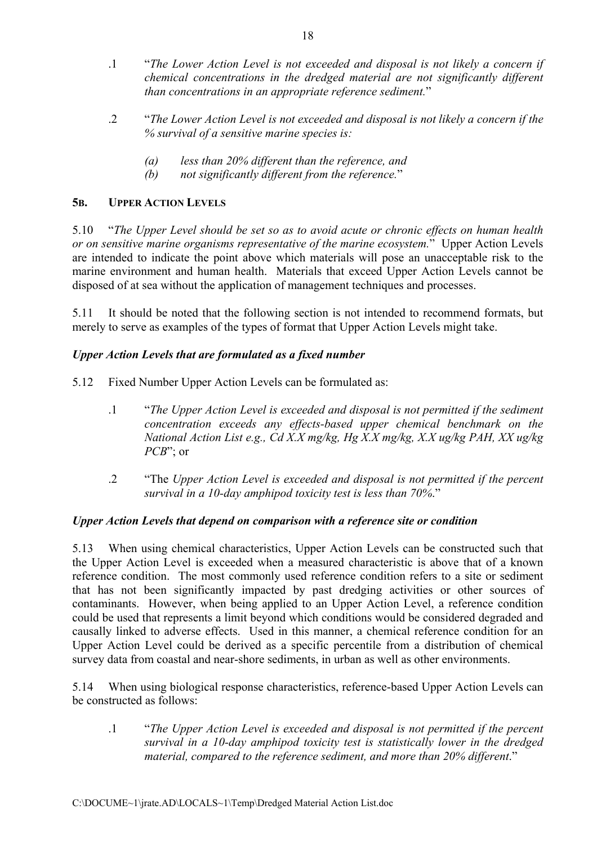- .1 "*The Lower Action Level is not exceeded and disposal is not likely a concern if chemical concentrations in the dredged material are not significantly different than concentrations in an appropriate reference sediment.*"
- .2 "*The Lower Action Level is not exceeded and disposal is not likely a concern if the % survival of a sensitive marine species is:* 
	- *(a) less than 20% different than the reference, and*
	- *(b) not significantly different from the reference.*"

## **5B. UPPER ACTION LEVELS**

5.10 "*The Upper Level should be set so as to avoid acute or chronic effects on human health or on sensitive marine organisms representative of the marine ecosystem.*" Upper Action Levels are intended to indicate the point above which materials will pose an unacceptable risk to the marine environment and human health. Materials that exceed Upper Action Levels cannot be disposed of at sea without the application of management techniques and processes.

5.11 It should be noted that the following section is not intended to recommend formats, but merely to serve as examples of the types of format that Upper Action Levels might take.

## *Upper Action Levels that are formulated as a fixed number*

5.12 Fixed Number Upper Action Levels can be formulated as:

- .1 "*The Upper Action Level is exceeded and disposal is not permitted if the sediment concentration exceeds any effects-based upper chemical benchmark on the National Action List e.g., Cd X.X mg/kg, Hg X.X mg/kg, X.X ug/kg PAH, XX ug/kg PCB*"; or
- .2 "The *Upper Action Level is exceeded and disposal is not permitted if the percent survival in a 10-day amphipod toxicity test is less than 70%*."

## *Upper Action Levels that depend on comparison with a reference site or condition*

5.13 When using chemical characteristics, Upper Action Levels can be constructed such that the Upper Action Level is exceeded when a measured characteristic is above that of a known reference condition. The most commonly used reference condition refers to a site or sediment that has not been significantly impacted by past dredging activities or other sources of contaminants. However, when being applied to an Upper Action Level, a reference condition could be used that represents a limit beyond which conditions would be considered degraded and causally linked to adverse effects. Used in this manner, a chemical reference condition for an Upper Action Level could be derived as a specific percentile from a distribution of chemical survey data from coastal and near-shore sediments, in urban as well as other environments.

5.14 When using biological response characteristics, reference-based Upper Action Levels can be constructed as follows:

.1 "*The Upper Action Level is exceeded and disposal is not permitted if the percent survival in a 10-day amphipod toxicity test is statistically lower in the dredged material, compared to the reference sediment, and more than 20% different*."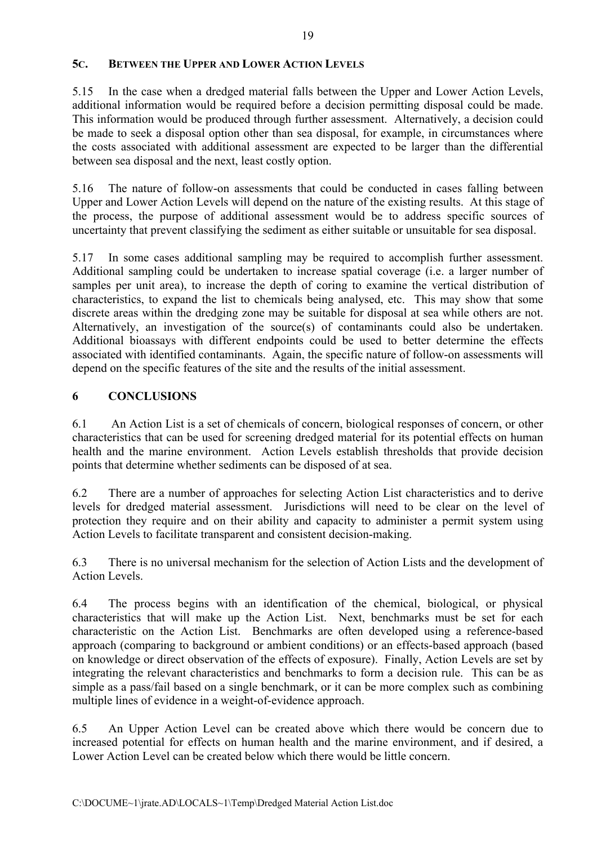## **5C. BETWEEN THE UPPER AND LOWER ACTION LEVELS**

5.15 In the case when a dredged material falls between the Upper and Lower Action Levels, additional information would be required before a decision permitting disposal could be made. This information would be produced through further assessment. Alternatively, a decision could be made to seek a disposal option other than sea disposal, for example, in circumstances where the costs associated with additional assessment are expected to be larger than the differential between sea disposal and the next, least costly option.

5.16 The nature of follow-on assessments that could be conducted in cases falling between Upper and Lower Action Levels will depend on the nature of the existing results. At this stage of the process, the purpose of additional assessment would be to address specific sources of uncertainty that prevent classifying the sediment as either suitable or unsuitable for sea disposal.

5.17 In some cases additional sampling may be required to accomplish further assessment. Additional sampling could be undertaken to increase spatial coverage (i.e. a larger number of samples per unit area), to increase the depth of coring to examine the vertical distribution of characteristics, to expand the list to chemicals being analysed, etc. This may show that some discrete areas within the dredging zone may be suitable for disposal at sea while others are not. Alternatively, an investigation of the source(s) of contaminants could also be undertaken. Additional bioassays with different endpoints could be used to better determine the effects associated with identified contaminants. Again, the specific nature of follow-on assessments will depend on the specific features of the site and the results of the initial assessment.

## **6 CONCLUSIONS**

6.1 An Action List is a set of chemicals of concern, biological responses of concern, or other characteristics that can be used for screening dredged material for its potential effects on human health and the marine environment. Action Levels establish thresholds that provide decision points that determine whether sediments can be disposed of at sea.

6.2 There are a number of approaches for selecting Action List characteristics and to derive levels for dredged material assessment. Jurisdictions will need to be clear on the level of protection they require and on their ability and capacity to administer a permit system using Action Levels to facilitate transparent and consistent decision-making.

6.3 There is no universal mechanism for the selection of Action Lists and the development of Action Levels.

6.4 The process begins with an identification of the chemical, biological, or physical characteristics that will make up the Action List. Next, benchmarks must be set for each characteristic on the Action List. Benchmarks are often developed using a reference-based approach (comparing to background or ambient conditions) or an effects-based approach (based on knowledge or direct observation of the effects of exposure). Finally, Action Levels are set by integrating the relevant characteristics and benchmarks to form a decision rule. This can be as simple as a pass/fail based on a single benchmark, or it can be more complex such as combining multiple lines of evidence in a weight-of-evidence approach.

6.5 An Upper Action Level can be created above which there would be concern due to increased potential for effects on human health and the marine environment, and if desired, a Lower Action Level can be created below which there would be little concern.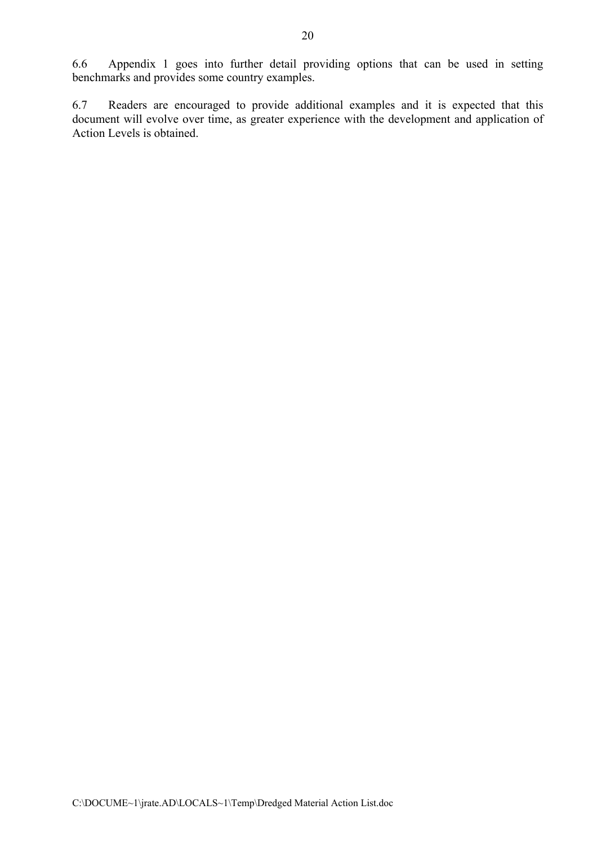6.6 Appendix 1 goes into further detail providing options that can be used in setting benchmarks and provides some country examples.

6.7 Readers are encouraged to provide additional examples and it is expected that this document will evolve over time, as greater experience with the development and application of Action Levels is obtained.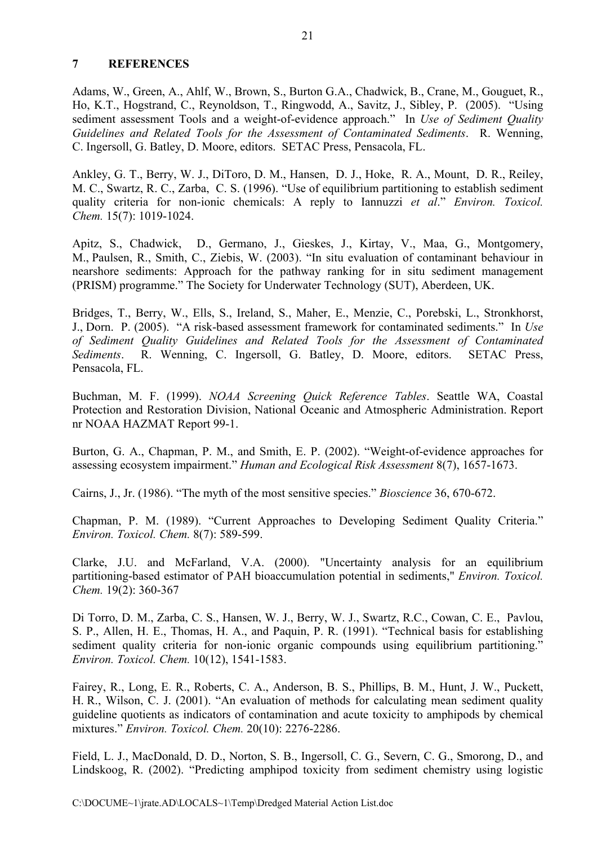#### **7 REFERENCES**

Adams, W., Green, A., Ahlf, W., Brown, S., Burton G.A., Chadwick, B., Crane, M., Gouguet, R., Ho, K.T., Hogstrand, C., Reynoldson, T., Ringwodd, A., Savitz, J., Sibley, P. (2005). "Using sediment assessment Tools and a weight-of-evidence approach." In *Use of Sediment Quality Guidelines and Related Tools for the Assessment of Contaminated Sediments*. R. Wenning, C. Ingersoll, G. Batley, D. Moore, editors. SETAC Press, Pensacola, FL.

Ankley, G. T., Berry, W. J., DiToro, D. M., Hansen, D. J., Hoke, R. A., Mount, D. R., Reiley, M. C., Swartz, R. C., Zarba, C. S. (1996). "Use of equilibrium partitioning to establish sediment quality criteria for non-ionic chemicals: A reply to Iannuzzi *et al*." *Environ. Toxicol. Chem.* 15(7): 1019-1024.

Apitz, S., Chadwick, D., Germano, J., Gieskes, J., Kirtay, V., Maa, G., Montgomery, M., Paulsen, R., Smith, C., Ziebis, W. (2003). "In situ evaluation of contaminant behaviour in nearshore sediments: Approach for the pathway ranking for in situ sediment management (PRISM) programme." The Society for Underwater Technology (SUT), Aberdeen, UK.

Bridges, T., Berry, W., Ells, S., Ireland, S., Maher, E., Menzie, C., Porebski, L., Stronkhorst, J., Dorn. P. (2005). "A risk-based assessment framework for contaminated sediments." In *Use of Sediment Quality Guidelines and Related Tools for the Assessment of Contaminated Sediments*. R. Wenning, C. Ingersoll, G. Batley, D. Moore, editors. SETAC Press, Pensacola, FL.

Buchman, M. F. (1999). *NOAA Screening Quick Reference Tables*. Seattle WA, Coastal Protection and Restoration Division, National Oceanic and Atmospheric Administration. Report nr NOAA HAZMAT Report 99-1.

Burton, G. A., Chapman, P. M., and Smith, E. P. (2002). "Weight-of-evidence approaches for assessing ecosystem impairment." *Human and Ecological Risk Assessment* 8(7), 1657-1673.

Cairns, J., Jr. (1986). "The myth of the most sensitive species." *Bioscience* 36, 670-672.

Chapman, P. M. (1989). "Current Approaches to Developing Sediment Quality Criteria." *Environ. Toxicol. Chem.* 8(7): 589-599.

Clarke, J.U. and McFarland, V.A. (2000). "Uncertainty analysis for an equilibrium partitioning-based estimator of PAH bioaccumulation potential in sediments," *Environ. Toxicol. Chem.* 19(2): 360-367

Di Torro, D. M., Zarba, C. S., Hansen, W. J., Berry, W. J., Swartz, R.C., Cowan, C. E., Pavlou, S. P., Allen, H. E., Thomas, H. A., and Paquin, P. R. (1991). "Technical basis for establishing sediment quality criteria for non-ionic organic compounds using equilibrium partitioning." *Environ. Toxicol. Chem.* 10(12), 1541-1583.

Fairey, R., Long, E. R., Roberts, C. A., Anderson, B. S., Phillips, B. M., Hunt, J. W., Puckett, H. R., Wilson, C. J. (2001). "An evaluation of methods for calculating mean sediment quality guideline quotients as indicators of contamination and acute toxicity to amphipods by chemical mixtures." *Environ. Toxicol. Chem.* 20(10): 2276-2286.

Field, L. J., MacDonald, D. D., Norton, S. B., Ingersoll, C. G., Severn, C. G., Smorong, D., and Lindskoog, R. (2002). "Predicting amphipod toxicity from sediment chemistry using logistic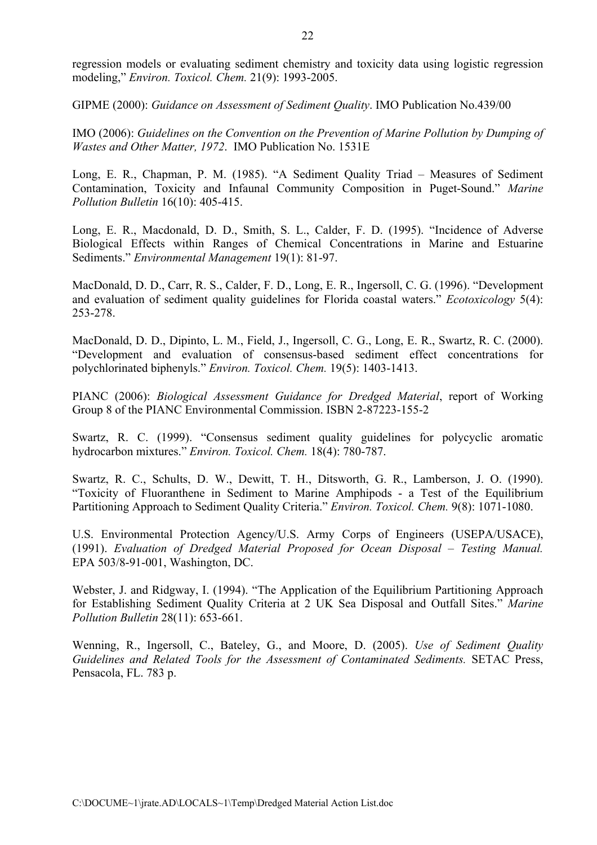regression models or evaluating sediment chemistry and toxicity data using logistic regression modeling," *Environ. Toxicol. Chem.* 21(9): 1993-2005.

GIPME (2000): *Guidance on Assessment of Sediment Quality*. IMO Publication No.439/00

IMO (2006): *Guidelines on the Convention on the Prevention of Marine Pollution by Dumping of Wastes and Other Matter, 1972*. IMO Publication No. 1531E

Long, E. R., Chapman, P. M. (1985). "A Sediment Quality Triad – Measures of Sediment Contamination, Toxicity and Infaunal Community Composition in Puget-Sound." *Marine Pollution Bulletin* 16(10): 405-415.

Long, E. R., Macdonald, D. D., Smith, S. L., Calder, F. D. (1995). "Incidence of Adverse Biological Effects within Ranges of Chemical Concentrations in Marine and Estuarine Sediments." *Environmental Management* 19(1): 81-97.

MacDonald, D. D., Carr, R. S., Calder, F. D., Long, E. R., Ingersoll, C. G. (1996). "Development and evaluation of sediment quality guidelines for Florida coastal waters." *Ecotoxicology* 5(4): 253-278.

MacDonald, D. D., Dipinto, L. M., Field, J., Ingersoll, C. G., Long, E. R., Swartz, R. C. (2000). "Development and evaluation of consensus-based sediment effect concentrations for polychlorinated biphenyls." *Environ. Toxicol. Chem.* 19(5): 1403-1413.

PIANC (2006): *Biological Assessment Guidance for Dredged Material*, report of Working Group 8 of the PIANC Environmental Commission. ISBN 2-87223-155-2

Swartz, R. C. (1999). "Consensus sediment quality guidelines for polycyclic aromatic hydrocarbon mixtures." *Environ. Toxicol. Chem.* 18(4): 780-787.

Swartz, R. C., Schults, D. W., Dewitt, T. H., Ditsworth, G. R., Lamberson, J. O. (1990). "Toxicity of Fluoranthene in Sediment to Marine Amphipods - a Test of the Equilibrium Partitioning Approach to Sediment Quality Criteria." *Environ. Toxicol. Chem.* 9(8): 1071-1080.

U.S. Environmental Protection Agency/U.S. Army Corps of Engineers (USEPA/USACE), (1991). *Evaluation of Dredged Material Proposed for Ocean Disposal – Testing Manual.* EPA 503/8-91-001, Washington, DC.

Webster, J. and Ridgway, I. (1994). "The Application of the Equilibrium Partitioning Approach for Establishing Sediment Quality Criteria at 2 UK Sea Disposal and Outfall Sites." *Marine Pollution Bulletin* 28(11): 653-661.

Wenning, R., Ingersoll, C., Bateley, G., and Moore, D. (2005). *Use of Sediment Quality Guidelines and Related Tools for the Assessment of Contaminated Sediments.* SETAC Press, Pensacola, FL. 783 p.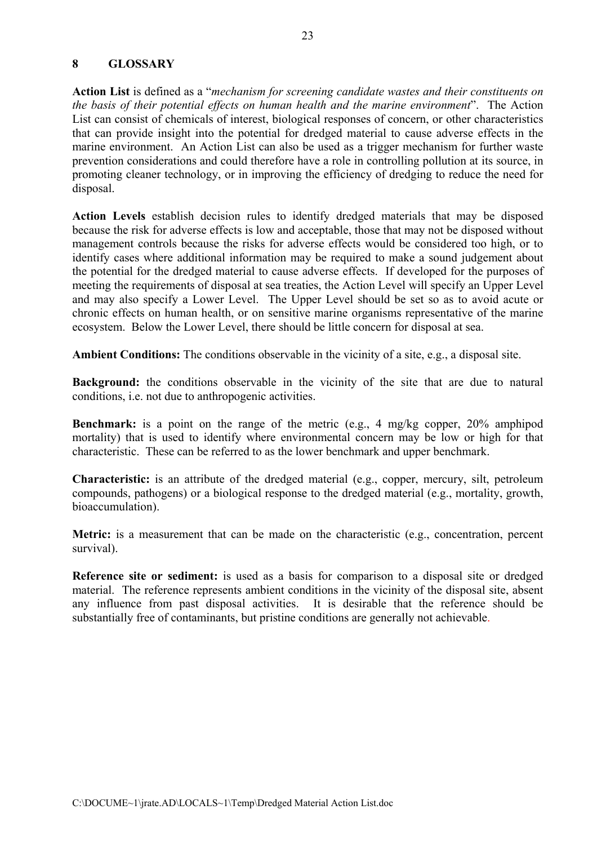### **8 GLOSSARY**

**Action List** is defined as a "*mechanism for screening candidate wastes and their constituents on the basis of their potential effects on human health and the marine environment*".The Action List can consist of chemicals of interest, biological responses of concern, or other characteristics that can provide insight into the potential for dredged material to cause adverse effects in the marine environment. An Action List can also be used as a trigger mechanism for further waste prevention considerations and could therefore have a role in controlling pollution at its source, in promoting cleaner technology, or in improving the efficiency of dredging to reduce the need for disposal.

**Action Levels** establish decision rules to identify dredged materials that may be disposed because the risk for adverse effects is low and acceptable, those that may not be disposed without management controls because the risks for adverse effects would be considered too high, or to identify cases where additional information may be required to make a sound judgement about the potential for the dredged material to cause adverse effects. If developed for the purposes of meeting the requirements of disposal at sea treaties, the Action Level will specify an Upper Level and may also specify a Lower Level. The Upper Level should be set so as to avoid acute or chronic effects on human health, or on sensitive marine organisms representative of the marine ecosystem. Below the Lower Level, there should be little concern for disposal at sea.

**Ambient Conditions:** The conditions observable in the vicinity of a site, e.g., a disposal site.

**Background:** the conditions observable in the vicinity of the site that are due to natural conditions, i.e. not due to anthropogenic activities.

**Benchmark:** is a point on the range of the metric (e.g., 4 mg/kg copper, 20% amphipod mortality) that is used to identify where environmental concern may be low or high for that characteristic. These can be referred to as the lower benchmark and upper benchmark.

**Characteristic:** is an attribute of the dredged material (e.g., copper, mercury, silt, petroleum compounds, pathogens) or a biological response to the dredged material (e.g., mortality, growth, bioaccumulation).

**Metric:** is a measurement that can be made on the characteristic (e.g., concentration, percent survival).

**Reference site or sediment:** is used as a basis for comparison to a disposal site or dredged material. The reference represents ambient conditions in the vicinity of the disposal site, absent any influence from past disposal activities. It is desirable that the reference should be substantially free of contaminants, but pristine conditions are generally not achievable.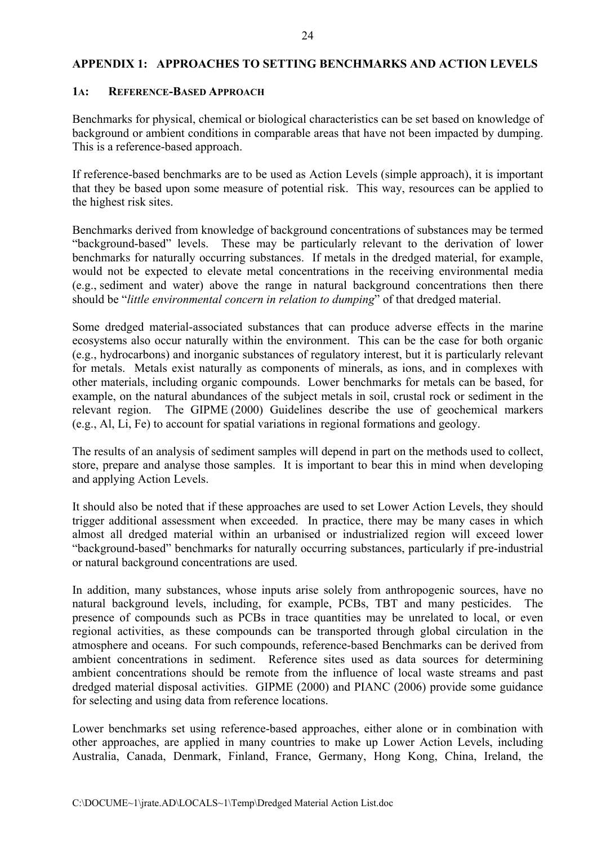#### **APPENDIX 1: APPROACHES TO SETTING BENCHMARKS AND ACTION LEVELS**

#### **1A: REFERENCE-BASED APPROACH**

Benchmarks for physical, chemical or biological characteristics can be set based on knowledge of background or ambient conditions in comparable areas that have not been impacted by dumping. This is a reference-based approach.

If reference-based benchmarks are to be used as Action Levels (simple approach), it is important that they be based upon some measure of potential risk. This way, resources can be applied to the highest risk sites.

Benchmarks derived from knowledge of background concentrations of substances may be termed "background-based" levels. These may be particularly relevant to the derivation of lower benchmarks for naturally occurring substances. If metals in the dredged material, for example, would not be expected to elevate metal concentrations in the receiving environmental media (e.g., sediment and water) above the range in natural background concentrations then there should be "*little environmental concern in relation to dumping*" of that dredged material.

Some dredged material-associated substances that can produce adverse effects in the marine ecosystems also occur naturally within the environment. This can be the case for both organic (e.g., hydrocarbons) and inorganic substances of regulatory interest, but it is particularly relevant for metals. Metals exist naturally as components of minerals, as ions, and in complexes with other materials, including organic compounds. Lower benchmarks for metals can be based, for example, on the natural abundances of the subject metals in soil, crustal rock or sediment in the relevant region. The GIPME (2000) Guidelines describe the use of geochemical markers (e.g., Al, Li, Fe) to account for spatial variations in regional formations and geology.

The results of an analysis of sediment samples will depend in part on the methods used to collect, store, prepare and analyse those samples. It is important to bear this in mind when developing and applying Action Levels.

It should also be noted that if these approaches are used to set Lower Action Levels, they should trigger additional assessment when exceeded. In practice, there may be many cases in which almost all dredged material within an urbanised or industrialized region will exceed lower "background-based" benchmarks for naturally occurring substances, particularly if pre-industrial or natural background concentrations are used.

In addition, many substances, whose inputs arise solely from anthropogenic sources, have no natural background levels, including, for example, PCBs, TBT and many pesticides. The presence of compounds such as PCBs in trace quantities may be unrelated to local, or even regional activities, as these compounds can be transported through global circulation in the atmosphere and oceans. For such compounds, reference-based Benchmarks can be derived from ambient concentrations in sediment. Reference sites used as data sources for determining ambient concentrations should be remote from the influence of local waste streams and past dredged material disposal activities. GIPME (2000) and PIANC (2006) provide some guidance for selecting and using data from reference locations.

Lower benchmarks set using reference-based approaches, either alone or in combination with other approaches, are applied in many countries to make up Lower Action Levels, including Australia, Canada, Denmark, Finland, France, Germany, Hong Kong, China, Ireland, the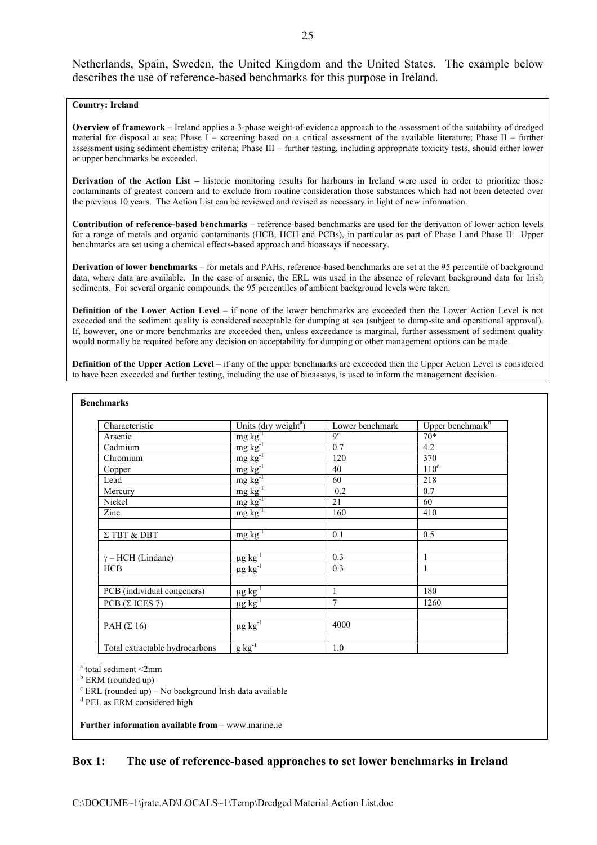Netherlands, Spain, Sweden, the United Kingdom and the United States. The example below describes the use of reference-based benchmarks for this purpose in Ireland.

#### **Country: Ireland**

**Overview of framework** – Ireland applies a 3-phase weight-of-evidence approach to the assessment of the suitability of dredged material for disposal at sea; Phase I – screening based on a critical assessment of the available literature; Phase II – further assessment using sediment chemistry criteria; Phase III – further testing, including appropriate toxicity tests, should either lower or upper benchmarks be exceeded.

**Derivation of the Action List –** historic monitoring results for harbours in Ireland were used in order to prioritize those contaminants of greatest concern and to exclude from routine consideration those substances which had not been detected over the previous 10 years. The Action List can be reviewed and revised as necessary in light of new information.

**Contribution of reference-based benchmarks** – reference-based benchmarks are used for the derivation of lower action levels for a range of metals and organic contaminants (HCB, HCH and PCBs), in particular as part of Phase I and Phase II. Upper benchmarks are set using a chemical effects-based approach and bioassays if necessary.

**Derivation of lower benchmarks** – for metals and PAHs, reference-based benchmarks are set at the 95 percentile of background data, where data are available. In the case of arsenic, the ERL was used in the absence of relevant background data for Irish sediments. For several organic compounds, the 95 percentiles of ambient background levels were taken.

**Definition of the Lower Action Level** – if none of the lower benchmarks are exceeded then the Lower Action Level is not exceeded and the sediment quality is considered acceptable for dumping at sea (subject to dump-site and operational approval). If, however, one or more benchmarks are exceeded then, unless exceedance is marginal, further assessment of sediment quality would normally be required before any decision on acceptability for dumping or other management options can be made.

**Definition of the Upper Action Level** – if any of the upper benchmarks are exceeded then the Upper Action Level is considered to have been exceeded and further testing, including the use of bioassays, is used to inform the management decision.

| Units (dry weight <sup>a</sup> ) | Lower benchmark                                                                                                                                                                                                                 | Upper benchmark <sup>b</sup> |
|----------------------------------|---------------------------------------------------------------------------------------------------------------------------------------------------------------------------------------------------------------------------------|------------------------------|
|                                  | $q^c$                                                                                                                                                                                                                           | $70*$                        |
|                                  | 0.7                                                                                                                                                                                                                             | 4.2                          |
|                                  | 120                                                                                                                                                                                                                             | 370                          |
|                                  | 40                                                                                                                                                                                                                              | 110 <sup>d</sup>             |
|                                  | 60                                                                                                                                                                                                                              | 218                          |
|                                  | 0.2                                                                                                                                                                                                                             | 0.7                          |
|                                  | 21                                                                                                                                                                                                                              | 60                           |
|                                  | 160                                                                                                                                                                                                                             | 410                          |
| $mg\overline{kg^{-1}}$           | 0.1                                                                                                                                                                                                                             | 0.5                          |
|                                  | 0.3                                                                                                                                                                                                                             | $\mathbf{1}$                 |
|                                  | 0.3                                                                                                                                                                                                                             | $\mathbf{1}$                 |
|                                  | 1                                                                                                                                                                                                                               | 180                          |
| $\mu$ g kg <sup>-1</sup>         | 7                                                                                                                                                                                                                               | 1260                         |
| $\mu$ g kg <sup>-1</sup>         | 4000                                                                                                                                                                                                                            |                              |
|                                  | $\frac{mg kg^{-1}}{mg kg^{-1}}$<br>$\frac{mg \log 1}{mg \log 1}$<br>$mg \log \frac{1}{mg \log 1}$<br>$mg \log \frac{1}{m}$<br>$mg\,kg^{-1}$<br>$\mu$ g kg <sup>-1</sup><br>$\mu$ g kg <sup>-1</sup><br>$\mu$ g kg <sup>-1</sup> |                              |

<sup>a</sup> total sediment <2mm

<sup>b</sup> ERM (rounded up)

 $c$  ERL (rounded up) – No background Irish data available

<sup>d</sup> PEL as ERM considered high

**Further information available from –** www.marine.ie

#### **Box 1: The use of reference-based approaches to set lower benchmarks in Ireland**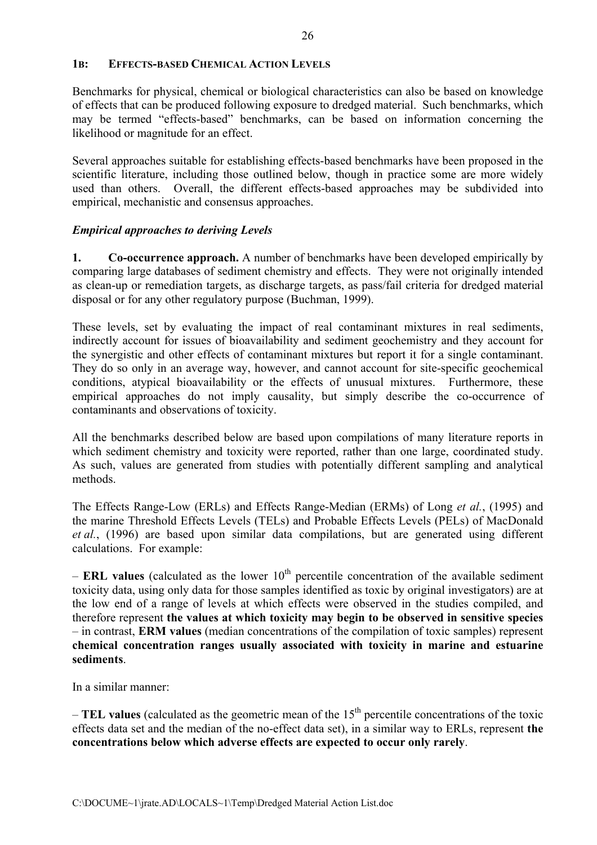### **1B: EFFECTS-BASED CHEMICAL ACTION LEVELS**

Benchmarks for physical, chemical or biological characteristics can also be based on knowledge of effects that can be produced following exposure to dredged material. Such benchmarks, which may be termed "effects-based" benchmarks, can be based on information concerning the likelihood or magnitude for an effect.

Several approaches suitable for establishing effects-based benchmarks have been proposed in the scientific literature, including those outlined below, though in practice some are more widely used than others. Overall, the different effects-based approaches may be subdivided into empirical, mechanistic and consensus approaches.

## *Empirical approaches to deriving Levels*

**1. Co-occurrence approach.** A number of benchmarks have been developed empirically by comparing large databases of sediment chemistry and effects. They were not originally intended as clean-up or remediation targets, as discharge targets, as pass/fail criteria for dredged material disposal or for any other regulatory purpose (Buchman, 1999).

These levels, set by evaluating the impact of real contaminant mixtures in real sediments, indirectly account for issues of bioavailability and sediment geochemistry and they account for the synergistic and other effects of contaminant mixtures but report it for a single contaminant. They do so only in an average way, however, and cannot account for site-specific geochemical conditions, atypical bioavailability or the effects of unusual mixtures. Furthermore, these empirical approaches do not imply causality, but simply describe the co-occurrence of contaminants and observations of toxicity.

All the benchmarks described below are based upon compilations of many literature reports in which sediment chemistry and toxicity were reported, rather than one large, coordinated study. As such, values are generated from studies with potentially different sampling and analytical methods.

The Effects Range-Low (ERLs) and Effects Range-Median (ERMs) of Long *et al.*, (1995) and the marine Threshold Effects Levels (TELs) and Probable Effects Levels (PELs) of MacDonald *et al.*, (1996) are based upon similar data compilations, but are generated using different calculations. For example:

 $-$  **ERL** values (calculated as the lower  $10<sup>th</sup>$  percentile concentration of the available sediment toxicity data, using only data for those samples identified as toxic by original investigators) are at the low end of a range of levels at which effects were observed in the studies compiled, and therefore represent **the values at which toxicity may begin to be observed in sensitive species** – in contrast, **ERM values** (median concentrations of the compilation of toxic samples) represent **chemical concentration ranges usually associated with toxicity in marine and estuarine sediments**.

In a similar manner:

 $-$  **TEL values** (calculated as the geometric mean of the 15<sup>th</sup> percentile concentrations of the toxic effects data set and the median of the no-effect data set), in a similar way to ERLs, represent **the concentrations below which adverse effects are expected to occur only rarely**.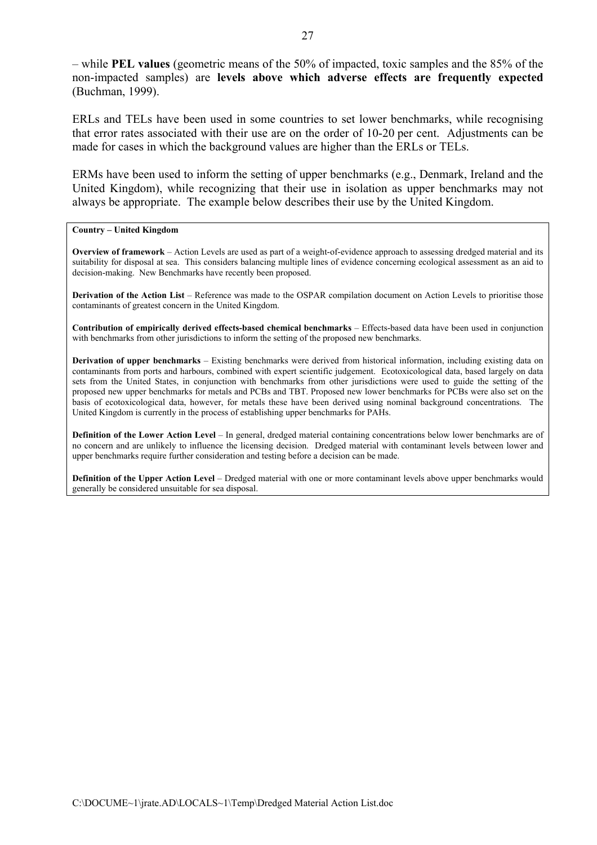– while **PEL values** (geometric means of the 50% of impacted, toxic samples and the 85% of the non-impacted samples) are **levels above which adverse effects are frequently expected**  (Buchman, 1999).

ERLs and TELs have been used in some countries to set lower benchmarks, while recognising that error rates associated with their use are on the order of 10-20 per cent. Adjustments can be made for cases in which the background values are higher than the ERLs or TELs.

ERMs have been used to inform the setting of upper benchmarks (e.g., Denmark, Ireland and the United Kingdom), while recognizing that their use in isolation as upper benchmarks may not always be appropriate. The example below describes their use by the United Kingdom.

#### **Country – United Kingdom**

**Overview of framework** – Action Levels are used as part of a weight-of-evidence approach to assessing dredged material and its suitability for disposal at sea. This considers balancing multiple lines of evidence concerning ecological assessment as an aid to decision-making. New Benchmarks have recently been proposed.

**Derivation of the Action List** – Reference was made to the OSPAR compilation document on Action Levels to prioritise those contaminants of greatest concern in the United Kingdom.

**Contribution of empirically derived effects-based chemical benchmarks** – Effects-based data have been used in conjunction with benchmarks from other jurisdictions to inform the setting of the proposed new benchmarks.

**Derivation of upper benchmarks** – Existing benchmarks were derived from historical information, including existing data on contaminants from ports and harbours, combined with expert scientific judgement. Ecotoxicological data, based largely on data sets from the United States, in conjunction with benchmarks from other jurisdictions were used to guide the setting of the proposed new upper benchmarks for metals and PCBs and TBT. Proposed new lower benchmarks for PCBs were also set on the basis of ecotoxicological data, however, for metals these have been derived using nominal background concentrations. The United Kingdom is currently in the process of establishing upper benchmarks for PAHs.

**Definition of the Lower Action Level** – In general, dredged material containing concentrations below lower benchmarks are of no concern and are unlikely to influence the licensing decision. Dredged material with contaminant levels between lower and upper benchmarks require further consideration and testing before a decision can be made.

**Definition of the Upper Action Level** – Dredged material with one or more contaminant levels above upper benchmarks would generally be considered unsuitable for sea disposal.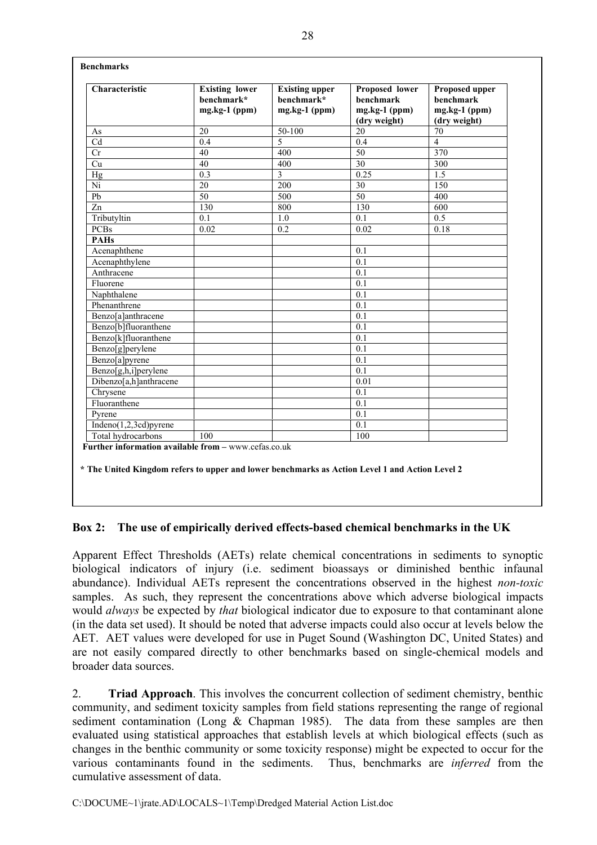| Characteristic                    | <b>Existing lower</b><br>benchmark*<br>mg.kg-1 (ppm) | <b>Existing upper</b><br>benchmark*<br>mg.kg-1 (ppm) | Proposed lower<br><b>benchmark</b><br>$mg.kg-1$ (ppm)<br>(dry weight) | Proposed upper<br><b>benchmark</b><br>$mg.kg-1$ (ppm)<br>(dry weight) |
|-----------------------------------|------------------------------------------------------|------------------------------------------------------|-----------------------------------------------------------------------|-----------------------------------------------------------------------|
| As                                | 20                                                   | $50-100$                                             | 20                                                                    | 70                                                                    |
| Cd                                | 0.4                                                  | $\overline{5}$                                       | 0.4                                                                   | $\overline{4}$                                                        |
| Cr                                | 40                                                   | 400                                                  | 50                                                                    | 370                                                                   |
| Cu                                | 40                                                   | 400                                                  | 30                                                                    | 300                                                                   |
| Hg                                | 0.3                                                  | $\overline{3}$                                       | 0.25                                                                  | 1.5                                                                   |
| Ni                                | 20                                                   | 200                                                  | 30                                                                    | 150                                                                   |
| Pb                                | $\overline{50}$                                      | 500                                                  | 50                                                                    | 400                                                                   |
| Zn                                | 130                                                  | 800                                                  | 130                                                                   | 600                                                                   |
| Tributyltin                       | 0.1                                                  | 1.0                                                  | 0.1                                                                   | 0.5                                                                   |
| <b>PCBs</b>                       | 0.02                                                 | 0.2                                                  | 0.02                                                                  | 0.18                                                                  |
| <b>PAHs</b>                       |                                                      |                                                      |                                                                       |                                                                       |
| Acenaphthene                      |                                                      |                                                      | 0.1                                                                   |                                                                       |
| Acenaphthylene                    |                                                      |                                                      | 0.1                                                                   |                                                                       |
| Anthracene                        |                                                      |                                                      | 0.1                                                                   |                                                                       |
| Fluorene                          |                                                      |                                                      | 0.1                                                                   |                                                                       |
| Naphthalene                       |                                                      |                                                      | 0.1                                                                   |                                                                       |
| Phenanthrene                      |                                                      |                                                      | 0.1                                                                   |                                                                       |
| Benzo[a]anthracene                |                                                      |                                                      | 0.1                                                                   |                                                                       |
| Benzo <sup>[b]</sup> fluoranthene |                                                      |                                                      | 0.1                                                                   |                                                                       |
| Benzo[k]fluoranthene              |                                                      |                                                      | 0.1                                                                   |                                                                       |
| Benzo[g]perylene                  |                                                      |                                                      | 0.1                                                                   |                                                                       |
| Benzo[a]pyrene                    |                                                      |                                                      | 0.1                                                                   |                                                                       |
| Benzo[g,h,i]perylene              |                                                      |                                                      | 0.1                                                                   |                                                                       |
| Dibenzo[a,h]anthracene            |                                                      |                                                      | 0.01                                                                  |                                                                       |
| Chrysene                          |                                                      |                                                      | 0.1                                                                   |                                                                       |
| Fluoranthene                      |                                                      |                                                      | 0.1                                                                   |                                                                       |
| Pyrene                            |                                                      |                                                      | 0.1                                                                   |                                                                       |
| Indeno $(1,2,3cd)$ pyrene         |                                                      |                                                      | 0.1                                                                   |                                                                       |
| Total hydrocarbons                | 100                                                  |                                                      | 100                                                                   |                                                                       |

**\* The United Kingdom refers to upper and lower benchmarks as Action Level 1 and Action Level 2** 

# **Box 2: The use of empirically derived effects-based chemical benchmarks in the UK**

Apparent Effect Thresholds (AETs) relate chemical concentrations in sediments to synoptic biological indicators of injury (i.e. sediment bioassays or diminished benthic infaunal abundance). Individual AETs represent the concentrations observed in the highest *non-toxic* samples. As such, they represent the concentrations above which adverse biological impacts would *always* be expected by *that* biological indicator due to exposure to that contaminant alone (in the data set used). It should be noted that adverse impacts could also occur at levels below the AET. AET values were developed for use in Puget Sound (Washington DC, United States) and are not easily compared directly to other benchmarks based on single-chemical models and broader data sources.

2. **Triad Approach**. This involves the concurrent collection of sediment chemistry, benthic community, and sediment toxicity samples from field stations representing the range of regional sediment contamination (Long & Chapman 1985). The data from these samples are then evaluated using statistical approaches that establish levels at which biological effects (such as changes in the benthic community or some toxicity response) might be expected to occur for the various contaminants found in the sediments. Thus, benchmarks are *inferred* from the cumulative assessment of data.

**Benchmarks**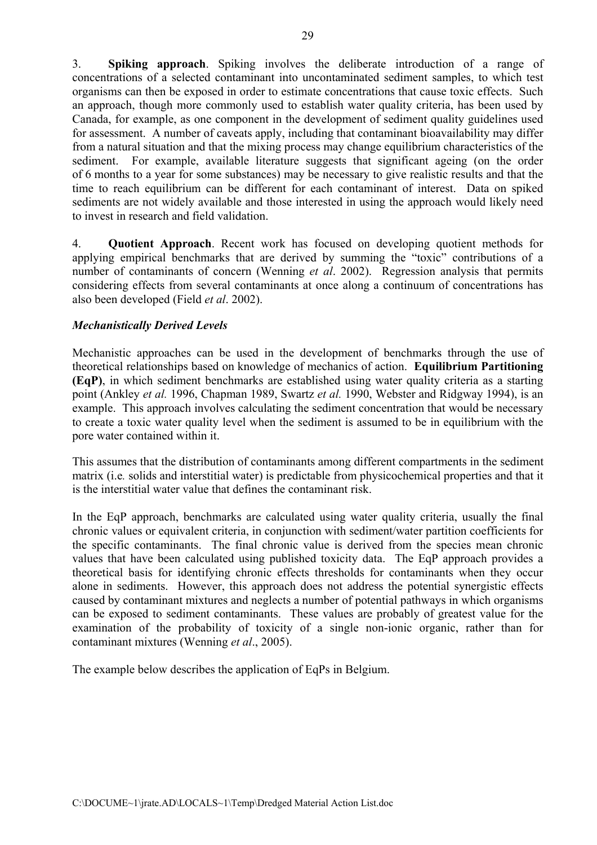3. **Spiking approach**. Spiking involves the deliberate introduction of a range of concentrations of a selected contaminant into uncontaminated sediment samples, to which test organisms can then be exposed in order to estimate concentrations that cause toxic effects. Such an approach, though more commonly used to establish water quality criteria, has been used by Canada, for example, as one component in the development of sediment quality guidelines used for assessment. A number of caveats apply, including that contaminant bioavailability may differ from a natural situation and that the mixing process may change equilibrium characteristics of the sediment. For example, available literature suggests that significant ageing (on the order of 6 months to a year for some substances) may be necessary to give realistic results and that the time to reach equilibrium can be different for each contaminant of interest. Data on spiked sediments are not widely available and those interested in using the approach would likely need to invest in research and field validation.

4. **Quotient Approach**. Recent work has focused on developing quotient methods for applying empirical benchmarks that are derived by summing the "toxic" contributions of a number of contaminants of concern (Wenning *et al*. 2002). Regression analysis that permits considering effects from several contaminants at once along a continuum of concentrations has also been developed (Field *et al*. 2002).

## *Mechanistically Derived Levels*

Mechanistic approaches can be used in the development of benchmarks through the use of theoretical relationships based on knowledge of mechanics of action. **Equilibrium Partitioning (EqP)**, in which sediment benchmarks are established using water quality criteria as a starting point (Ankley *et al.* 1996, Chapman 1989, Swartz *et al.* 1990, Webster and Ridgway 1994), is an example. This approach involves calculating the sediment concentration that would be necessary to create a toxic water quality level when the sediment is assumed to be in equilibrium with the pore water contained within it.

This assumes that the distribution of contaminants among different compartments in the sediment matrix (i.e*.* solids and interstitial water) is predictable from physicochemical properties and that it is the interstitial water value that defines the contaminant risk.

In the EqP approach, benchmarks are calculated using water quality criteria, usually the final chronic values or equivalent criteria, in conjunction with sediment/water partition coefficients for the specific contaminants. The final chronic value is derived from the species mean chronic values that have been calculated using published toxicity data. The EqP approach provides a theoretical basis for identifying chronic effects thresholds for contaminants when they occur alone in sediments. However, this approach does not address the potential synergistic effects caused by contaminant mixtures and neglects a number of potential pathways in which organisms can be exposed to sediment contaminants. These values are probably of greatest value for the examination of the probability of toxicity of a single non-ionic organic, rather than for contaminant mixtures (Wenning *et al*., 2005).

The example below describes the application of EqPs in Belgium.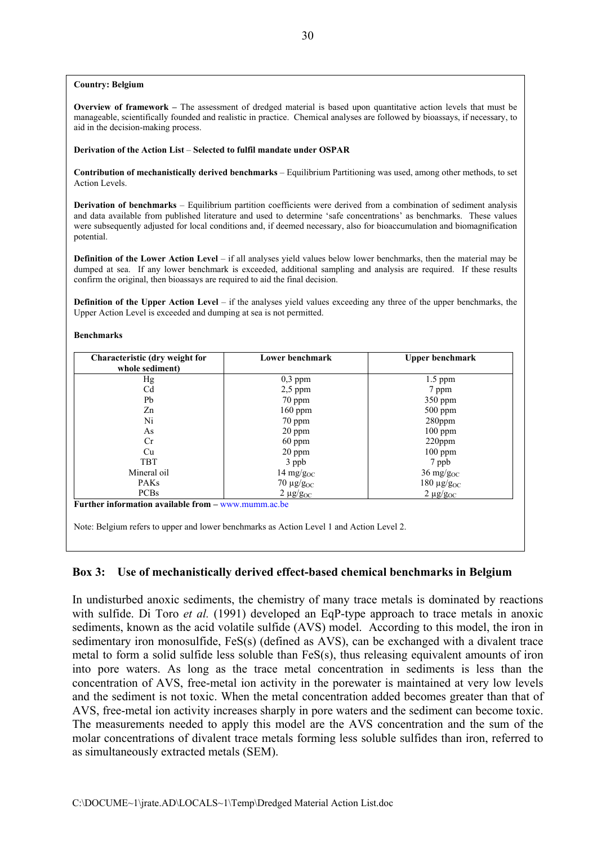#### **Country: Belgium**

**Overview of framework –** The assessment of dredged material is based upon quantitative action levels that must be manageable, scientifically founded and realistic in practice. Chemical analyses are followed by bioassays, if necessary, to aid in the decision-making process.

#### **Derivation of the Action List** – **Selected to fulfil mandate under OSPAR**

**Contribution of mechanistically derived benchmarks** – Equilibrium Partitioning was used, among other methods, to set Action Levels.

**Derivation of benchmarks** – Equilibrium partition coefficients were derived from a combination of sediment analysis and data available from published literature and used to determine 'safe concentrations' as benchmarks. These values were subsequently adjusted for local conditions and, if deemed necessary, also for bioaccumulation and biomagnification potential.

**Definition of the Lower Action Level** – if all analyses yield values below lower benchmarks, then the material may be dumped at sea. If any lower benchmark is exceeded, additional sampling and analysis are required. If these results confirm the original, then bioassays are required to aid the final decision.

**Definition of the Upper Action Level** – if the analyses yield values exceeding any three of the upper benchmarks, the Upper Action Level is exceeded and dumping at sea is not permitted.

#### **Benchmarks**

| Characteristic (dry weight for<br>whole sediment)                                        | Lower benchmark     | <b>Upper benchmark</b>        |
|------------------------------------------------------------------------------------------|---------------------|-------------------------------|
| Hg                                                                                       | $0,3$ ppm           | $1.5$ ppm                     |
| Cd                                                                                       | $2,5$ ppm           | 7 ppm                         |
| Pb                                                                                       | $70$ ppm            | $350$ ppm                     |
| Zn                                                                                       | $160$ ppm           | $500$ ppm                     |
| Ni                                                                                       | 70 ppm              | $280$ ppm                     |
| As                                                                                       | $20$ ppm            | $100$ ppm                     |
| Cr.                                                                                      | $60$ ppm            | $220$ ppm                     |
| Cu                                                                                       | $20$ ppm            | $100$ ppm                     |
| <b>TBT</b>                                                                               | 3 ppb               | 7 ppb                         |
| Mineral oil                                                                              | 14 mg/g $_{\rm OC}$ | $36 \text{ mg/g}_{\text{OC}}$ |
| <b>PAKs</b>                                                                              | $70 \mu g/g_{OC}$   | $180 \mu g/g_{OC}$            |
| <b>PCBs</b>                                                                              | $2 \mu g/g_{OC}$    | $2 \mu g/g_{OC}$              |
| Further information available from $-\frac{www.mumm.ac.be}{)}$                           |                     |                               |
| Note: Belgium refers to upper and lower benchmarks as Action Level 1 and Action Level 2. |                     |                               |

#### **Box 3: Use of mechanistically derived effect-based chemical benchmarks in Belgium**

In undisturbed anoxic sediments, the chemistry of many trace metals is dominated by reactions with sulfide. Di Toro *et al.* (1991) developed an EqP-type approach to trace metals in anoxic sediments, known as the acid volatile sulfide (AVS) model. According to this model, the iron in sedimentary iron monosulfide, FeS(s) (defined as AVS), can be exchanged with a divalent trace metal to form a solid sulfide less soluble than FeS(s), thus releasing equivalent amounts of iron into pore waters. As long as the trace metal concentration in sediments is less than the concentration of AVS, free-metal ion activity in the porewater is maintained at very low levels and the sediment is not toxic. When the metal concentration added becomes greater than that of AVS, free-metal ion activity increases sharply in pore waters and the sediment can become toxic. The measurements needed to apply this model are the AVS concentration and the sum of the molar concentrations of divalent trace metals forming less soluble sulfides than iron, referred to as simultaneously extracted metals (SEM).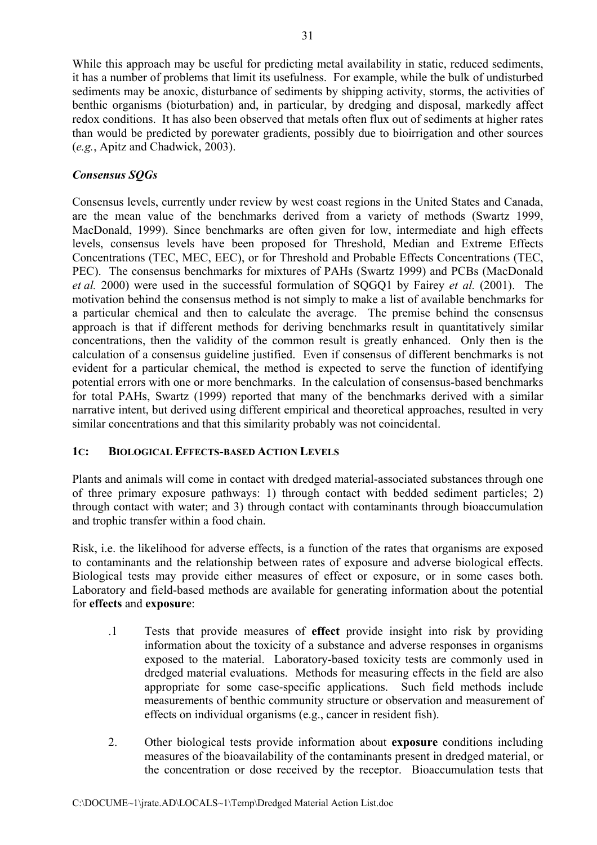While this approach may be useful for predicting metal availability in static, reduced sediments, it has a number of problems that limit its usefulness. For example, while the bulk of undisturbed sediments may be anoxic, disturbance of sediments by shipping activity, storms, the activities of benthic organisms (bioturbation) and, in particular, by dredging and disposal, markedly affect redox conditions. It has also been observed that metals often flux out of sediments at higher rates than would be predicted by porewater gradients, possibly due to bioirrigation and other sources (*e.g.*, Apitz and Chadwick, 2003).

## *Consensus SQGs*

Consensus levels, currently under review by west coast regions in the United States and Canada, are the mean value of the benchmarks derived from a variety of methods (Swartz 1999, MacDonald, 1999). Since benchmarks are often given for low, intermediate and high effects levels, consensus levels have been proposed for Threshold, Median and Extreme Effects Concentrations (TEC, MEC, EEC), or for Threshold and Probable Effects Concentrations (TEC, PEC). The consensus benchmarks for mixtures of PAHs (Swartz 1999) and PCBs (MacDonald *et al.* 2000) were used in the successful formulation of SQGQ1 by Fairey *et al.* (2001). The motivation behind the consensus method is not simply to make a list of available benchmarks for a particular chemical and then to calculate the average. The premise behind the consensus approach is that if different methods for deriving benchmarks result in quantitatively similar concentrations, then the validity of the common result is greatly enhanced. Only then is the calculation of a consensus guideline justified. Even if consensus of different benchmarks is not evident for a particular chemical, the method is expected to serve the function of identifying potential errors with one or more benchmarks. In the calculation of consensus-based benchmarks for total PAHs, Swartz (1999) reported that many of the benchmarks derived with a similar narrative intent, but derived using different empirical and theoretical approaches, resulted in very similar concentrations and that this similarity probably was not coincidental.

## **1C: BIOLOGICAL EFFECTS-BASED ACTION LEVELS**

Plants and animals will come in contact with dredged material-associated substances through one of three primary exposure pathways: 1) through contact with bedded sediment particles; 2) through contact with water; and 3) through contact with contaminants through bioaccumulation and trophic transfer within a food chain.

Risk, i.e. the likelihood for adverse effects, is a function of the rates that organisms are exposed to contaminants and the relationship between rates of exposure and adverse biological effects. Biological tests may provide either measures of effect or exposure, or in some cases both. Laboratory and field-based methods are available for generating information about the potential for **effects** and **exposure**:

- .1 Tests that provide measures of **effect** provide insight into risk by providing information about the toxicity of a substance and adverse responses in organisms exposed to the material. Laboratory-based toxicity tests are commonly used in dredged material evaluations. Methods for measuring effects in the field are also appropriate for some case-specific applications. Such field methods include measurements of benthic community structure or observation and measurement of effects on individual organisms (e.g., cancer in resident fish).
- 2. Other biological tests provide information about **exposure** conditions including measures of the bioavailability of the contaminants present in dredged material, or the concentration or dose received by the receptor. Bioaccumulation tests that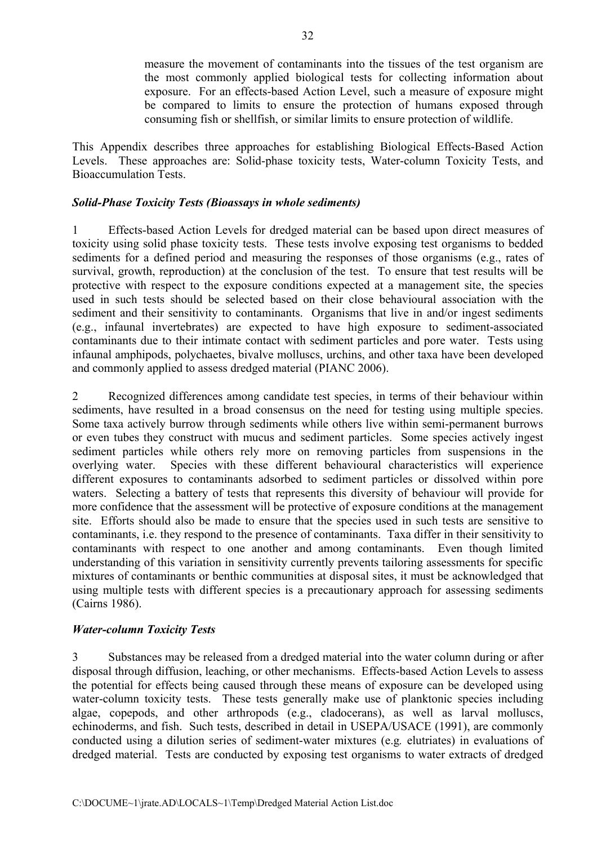measure the movement of contaminants into the tissues of the test organism are the most commonly applied biological tests for collecting information about exposure. For an effects-based Action Level, such a measure of exposure might be compared to limits to ensure the protection of humans exposed through consuming fish or shellfish, or similar limits to ensure protection of wildlife.

This Appendix describes three approaches for establishing Biological Effects-Based Action Levels. These approaches are: Solid-phase toxicity tests, Water-column Toxicity Tests, and Bioaccumulation Tests.

## *Solid-Phase Toxicity Tests (Bioassays in whole sediments)*

1 Effects-based Action Levels for dredged material can be based upon direct measures of toxicity using solid phase toxicity tests. These tests involve exposing test organisms to bedded sediments for a defined period and measuring the responses of those organisms (e.g., rates of survival, growth, reproduction) at the conclusion of the test. To ensure that test results will be protective with respect to the exposure conditions expected at a management site, the species used in such tests should be selected based on their close behavioural association with the sediment and their sensitivity to contaminants. Organisms that live in and/or ingest sediments (e.g., infaunal invertebrates) are expected to have high exposure to sediment-associated contaminants due to their intimate contact with sediment particles and pore water. Tests using infaunal amphipods, polychaetes, bivalve molluscs, urchins, and other taxa have been developed and commonly applied to assess dredged material (PIANC 2006).

2 Recognized differences among candidate test species, in terms of their behaviour within sediments, have resulted in a broad consensus on the need for testing using multiple species. Some taxa actively burrow through sediments while others live within semi-permanent burrows or even tubes they construct with mucus and sediment particles. Some species actively ingest sediment particles while others rely more on removing particles from suspensions in the overlying water. Species with these different behavioural characteristics will experience different exposures to contaminants adsorbed to sediment particles or dissolved within pore waters. Selecting a battery of tests that represents this diversity of behaviour will provide for more confidence that the assessment will be protective of exposure conditions at the management site. Efforts should also be made to ensure that the species used in such tests are sensitive to contaminants, i.e. they respond to the presence of contaminants. Taxa differ in their sensitivity to contaminants with respect to one another and among contaminants. Even though limited understanding of this variation in sensitivity currently prevents tailoring assessments for specific mixtures of contaminants or benthic communities at disposal sites, it must be acknowledged that using multiple tests with different species is a precautionary approach for assessing sediments (Cairns 1986).

## *Water-column Toxicity Tests*

3 Substances may be released from a dredged material into the water column during or after disposal through diffusion, leaching, or other mechanisms. Effects-based Action Levels to assess the potential for effects being caused through these means of exposure can be developed using water-column toxicity tests. These tests generally make use of planktonic species including algae, copepods, and other arthropods (e.g., cladocerans), as well as larval molluscs, echinoderms, and fish. Such tests, described in detail in USEPA/USACE (1991), are commonly conducted using a dilution series of sediment-water mixtures (e.g*.* elutriates) in evaluations of dredged material. Tests are conducted by exposing test organisms to water extracts of dredged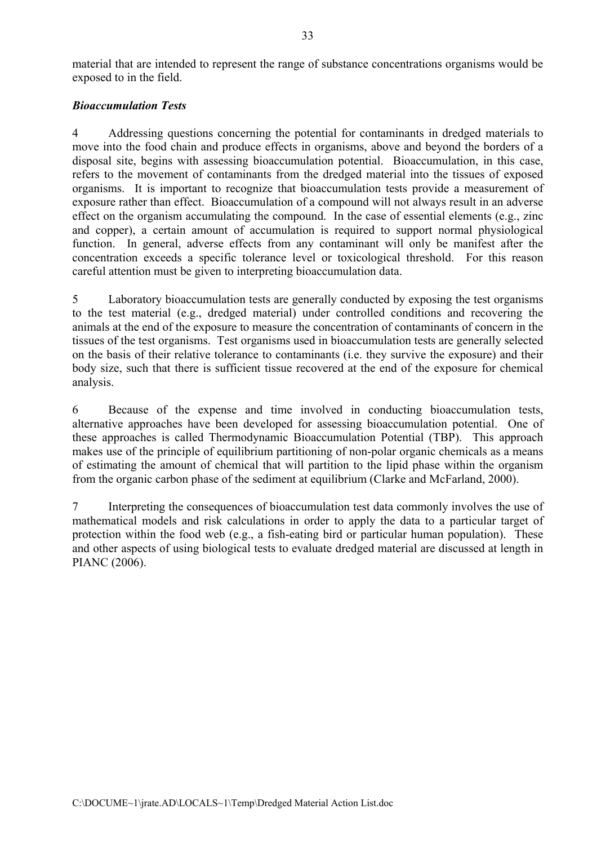material that are intended to represent the range of substance concentrations organisms would be exposed to in the field.

#### *Bioaccumulation Tests*

4 Addressing questions concerning the potential for contaminants in dredged materials to move into the food chain and produce effects in organisms, above and beyond the borders of a disposal site, begins with assessing bioaccumulation potential. Bioaccumulation, in this case, refers to the movement of contaminants from the dredged material into the tissues of exposed organisms. It is important to recognize that bioaccumulation tests provide a measurement of exposure rather than effect. Bioaccumulation of a compound will not always result in an adverse effect on the organism accumulating the compound. In the case of essential elements (e.g., zinc and copper), a certain amount of accumulation is required to support normal physiological function. In general, adverse effects from any contaminant will only be manifest after the concentration exceeds a specific tolerance level or toxicological threshold. For this reason careful attention must be given to interpreting bioaccumulation data.

5 Laboratory bioaccumulation tests are generally conducted by exposing the test organisms to the test material (e.g., dredged material) under controlled conditions and recovering the animals at the end of the exposure to measure the concentration of contaminants of concern in the tissues of the test organisms. Test organisms used in bioaccumulation tests are generally selected on the basis of their relative tolerance to contaminants (i.e. they survive the exposure) and their body size, such that there is sufficient tissue recovered at the end of the exposure for chemical analysis.

6 Because of the expense and time involved in conducting bioaccumulation tests, alternative approaches have been developed for assessing bioaccumulation potential. One of these approaches is called Thermodynamic Bioaccumulation Potential (TBP). This approach makes use of the principle of equilibrium partitioning of non-polar organic chemicals as a means of estimating the amount of chemical that will partition to the lipid phase within the organism from the organic carbon phase of the sediment at equilibrium (Clarke and McFarland, 2000).

7 Interpreting the consequences of bioaccumulation test data commonly involves the use of mathematical models and risk calculations in order to apply the data to a particular target of protection within the food web (e.g., a fish-eating bird or particular human population). These and other aspects of using biological tests to evaluate dredged material are discussed at length in PIANC (2006).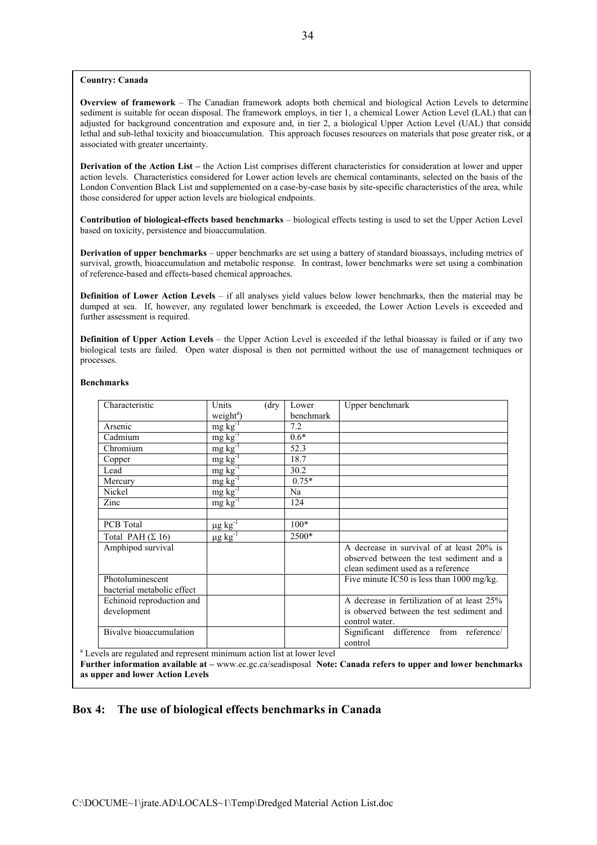#### **Country: Canada**

**Overview of framework** – The Canadian framework adopts both chemical and biological Action Levels to determine sediment is suitable for ocean disposal. The framework employs, in tier 1, a chemical Lower Action Level (LAL) that can adjusted for background concentration and exposure and, in tier 2, a biological Upper Action Level (UAL) that conside lethal and sub-lethal toxicity and bioaccumulation. This approach focuses resources on materials that pose greater risk, or a associated with greater uncertainty.

**Derivation of the Action List –** the Action List comprises different characteristics for consideration at lower and upper action levels. Characteristics considered for Lower action levels are chemical contaminants, selected on the basis of the London Convention Black List and supplemented on a case-by-case basis by site-specific characteristics of the area, while those considered for upper action levels are biological endpoints.

**Contribution of biological-effects based benchmarks** – biological effects testing is used to set the Upper Action Level based on toxicity, persistence and bioaccumulation.

**Derivation of upper benchmarks** – upper benchmarks are set using a battery of standard bioassays, including metrics of survival, growth, bioaccumulation and metabolic response. In contrast, lower benchmarks were set using a combination of reference-based and effects-based chemical approaches.

**Definition of Lower Action Levels** – if all analyses yield values below lower benchmarks, then the material may be dumped at sea. If, however, any regulated lower benchmark is exceeded, the Lower Action Levels is exceeded and further assessment is required.

**Definition of Upper Action Levels** – the Upper Action Level is exceeded if the lethal bioassay is failed or if any two biological tests are failed. Open water disposal is then not permitted without the use of management techniques or processes.

| Characteristic                                                                     | Units                          | $(\text{dry}$ | Lower     | Upper benchmark                                      |
|------------------------------------------------------------------------------------|--------------------------------|---------------|-----------|------------------------------------------------------|
|                                                                                    | weight <sup>a</sup> )          |               | benchmark |                                                      |
| Arsenic                                                                            | $mg\,kg^{-1}$                  |               | 7.2       |                                                      |
| Cadmium                                                                            | $mg\,kg^{-1}$                  |               | $0.6*$    |                                                      |
| Chromium                                                                           | $mg\,kg^{-1}$                  |               | 52.3      |                                                      |
| Copper                                                                             | $mg\overline{kg}$ <sup>T</sup> |               | 18.7      |                                                      |
| Lead                                                                               | $mg\,kg^{-1}$                  |               | 30.2      |                                                      |
| Mercury                                                                            | $mg\overline{kg}$ <sup>T</sup> |               | $0.75*$   |                                                      |
| Nickel                                                                             | $mg\,kg^{-1}$                  |               | Na        |                                                      |
| Zinc                                                                               | $mg\overline{kg^{-1}}$         |               | 124       |                                                      |
|                                                                                    |                                |               |           |                                                      |
| PCB Total                                                                          | $\mu$ g kg <sup>-1</sup>       |               | $100*$    |                                                      |
| Total PAH $(\Sigma 16)$                                                            | $\mu$ g kg <sup>-1</sup>       |               | 2500*     |                                                      |
| Amphipod survival                                                                  |                                |               |           | A decrease in survival of at least 20% is            |
|                                                                                    |                                |               |           | observed between the test sediment and a             |
|                                                                                    |                                |               |           | clean sediment used as a reference                   |
| Photoluminescent                                                                   |                                |               |           | Five minute IC50 is less than $1000 \text{ mg/kg}$ . |
| bacterial metabolic effect                                                         |                                |               |           |                                                      |
| Echinoid reproduction and                                                          |                                |               |           | A decrease in fertilization of at least 25%          |
| development                                                                        |                                |               |           | is observed between the test sediment and            |
|                                                                                    |                                |               |           | control water.                                       |
| Bivalve bioaccumulation                                                            |                                |               |           | Significant difference from reference/               |
| <sup>a</sup> Levels are regulated and represent minimum action list at lower level |                                |               |           | control                                              |

#### **Benchmarks**

**Further information available at –** www.ec.gc.ca/seadisposal **Note: Canada refers to upper and lower benchmarks as upper and lower Action Levels** 

#### **Box 4: The use of biological effects benchmarks in Canada**